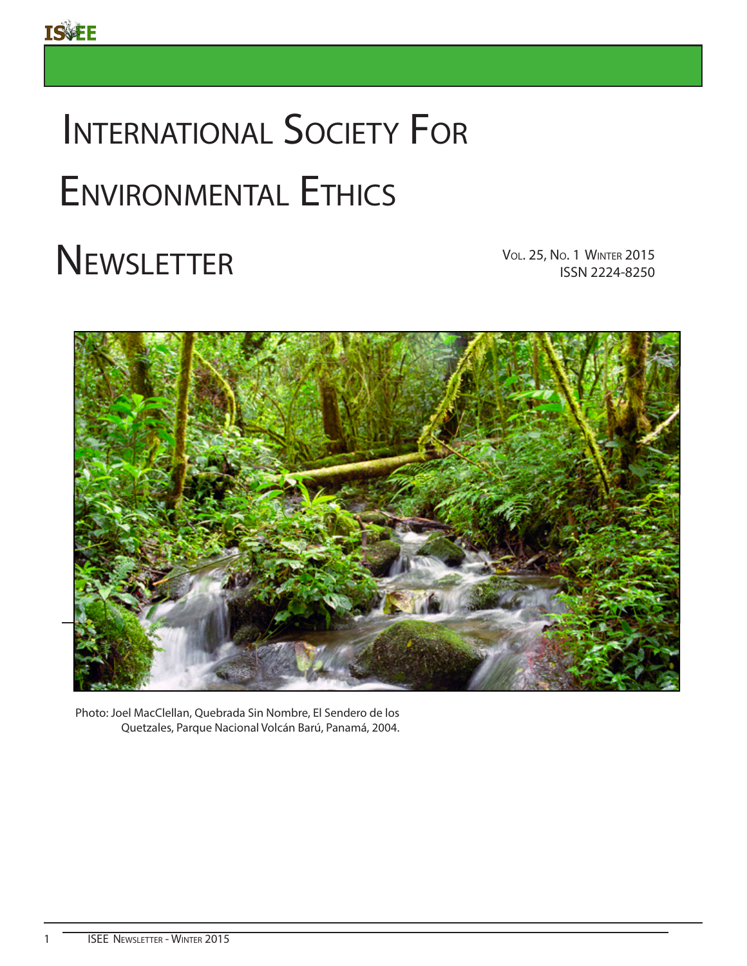# INTERNATIONAL SOCIETY FOR Environmental Ethics

# VOL. 25, No. 1 WINTER<br>ISSN 2224-8250



Photo: Joel MacClellan, Quebrada Sin Nombre, El Sendero de los Quetzales, Parque Nacional Volcán Barú, Panamá, 2004.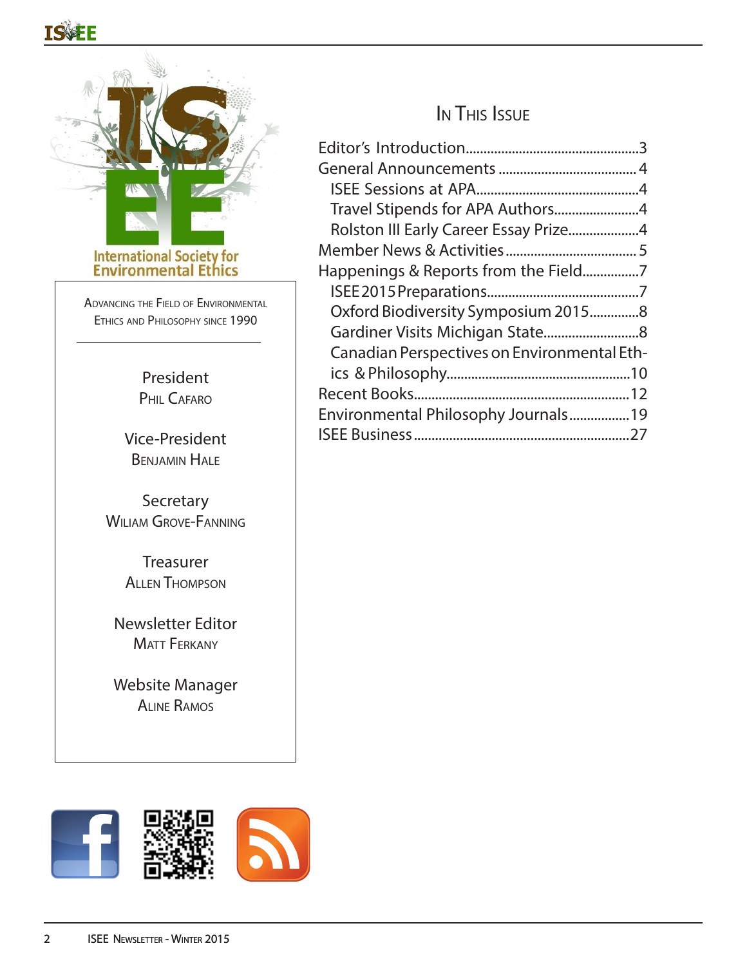# TSSEF



Advancing the Field of Environmental Ethics and Philosophy since 1990

> President PHIL CAFARO

Vice-President Benjamin Hale

**Secretary** WILIAM GROVE-FANNING

> **Treasurer** Allen Thompson

Newsletter Editor **MATT FERKANY** 

Website Manager Aline Ramos

# In This Issue

| Rolston III Early Career Essay Prize4       |  |
|---------------------------------------------|--|
|                                             |  |
| Happenings & Reports from the Field7        |  |
|                                             |  |
| Oxford Biodiversity Symposium 20158         |  |
|                                             |  |
| Canadian Perspectives on Environmental Eth- |  |
|                                             |  |
|                                             |  |
| Environmental Philosophy Journals19         |  |
|                                             |  |

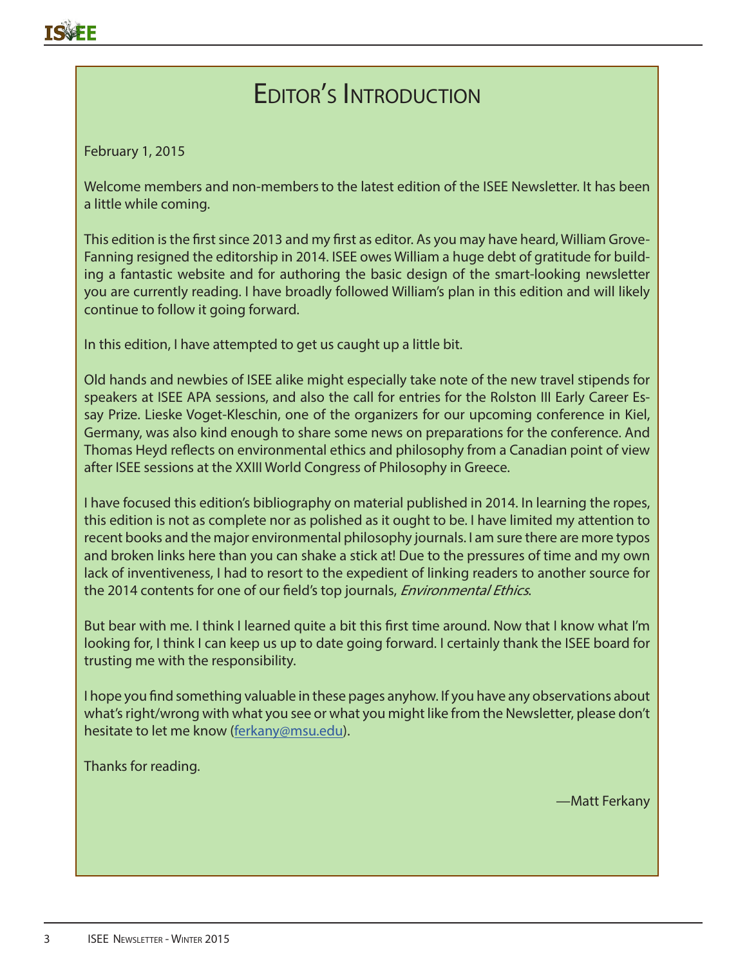# Editor's Introduction

February 1, 2015

Welcome members and non-members to the latest edition of the ISEE Newsletter. It has been a little while coming.

This edition is the first since 2013 and my first as editor. As you may have heard, William Grove-Fanning resigned the editorship in 2014. ISEE owes William a huge debt of gratitude for building a fantastic website and for authoring the basic design of the smart-looking newsletter you are currently reading. I have broadly followed William's plan in this edition and will likely continue to follow it going forward.

In this edition, I have attempted to get us caught up a little bit.

Old hands and newbies of ISEE alike might especially take note of the new travel stipends for speakers at ISEE APA sessions, and also the call for entries for the Rolston III Early Career Essay Prize. Lieske Voget-Kleschin, one of the organizers for our upcoming conference in Kiel, Germany, was also kind enough to share some news on preparations for the conference. And Thomas Heyd reflects on environmental ethics and philosophy from a Canadian point of view after ISEE sessions at the XXIII World Congress of Philosophy in Greece.

I have focused this edition's bibliography on material published in 2014. In learning the ropes, this edition is not as complete nor as polished as it ought to be. I have limited my attention to recent books and the major environmental philosophy journals. I am sure there are more typos and broken links here than you can shake a stick at! Due to the pressures of time and my own lack of inventiveness, I had to resort to the expedient of linking readers to another source for the 2014 contents for one of our field's top journals, *Environmental Ethics*.

But bear with me. I think I learned quite a bit this first time around. Now that I know what I'm looking for, I think I can keep us up to date going forward. I certainly thank the ISEE board for trusting me with the responsibility.

I hope you find something valuable in these pages anyhow. If you have any observations about what's right/wrong with what you see or what you might like from the Newsletter, please don't hesitate to let me know (ferkany@msu.edu).

Thanks for reading.

—Matt Ferkany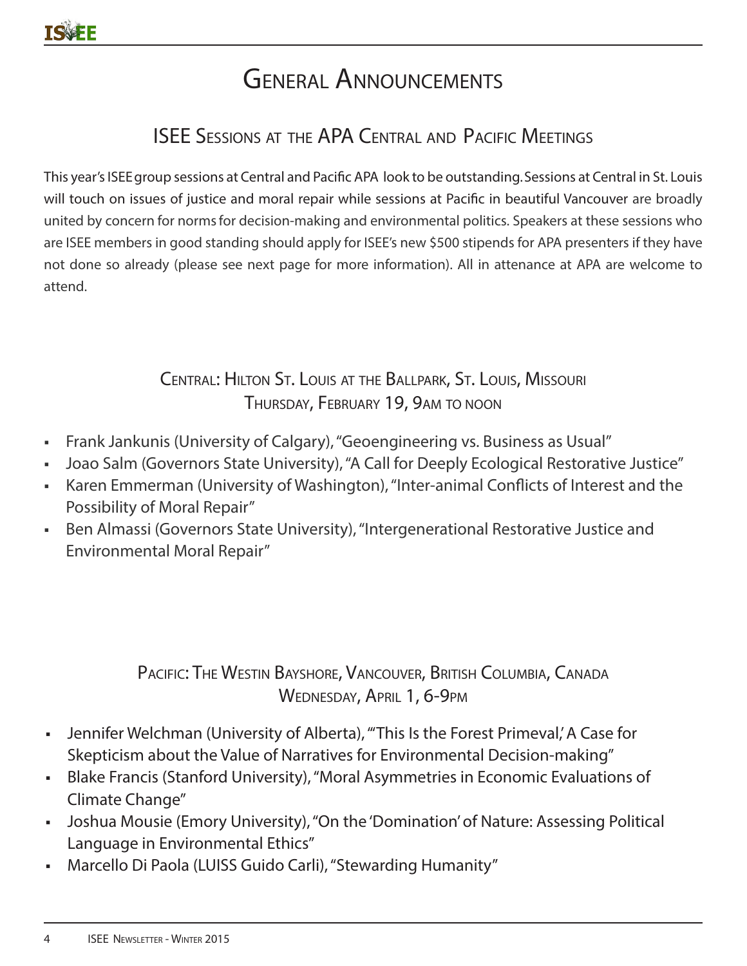# General Announcements

# ISEE Sessions at the APA Central and Pacific Meetings

This year's ISEE group sessions at Central and Pacific APA look to be outstanding. Sessions at Central in St. Louis will touch on issues of justice and moral repair while sessions at Pacific in beautiful Vancouver are broadly united by concern for norms for decision-making and environmental politics. Speakers at these sessions who are ISEE members in good standing should apply for ISEE's new \$500 stipends for APA presenters if they have not done so already (please see next page for more information). All in attenance at APA are welcome to attend.

## Central: Hilton St. Louis at the Ballpark, St. Louis, Missouri Thursday, February 19, 9am to noon

- Frank Jankunis (University of Calgary), "Geoengineering vs. Business as Usual"
- Joao Salm (Governors State University), "A Call for Deeply Ecological Restorative Justice"
- Karen Emmerman (University of Washington), "Inter-animal Conflicts of Interest and the Possibility of Moral Repair"
- Ben Almassi (Governors State University), "Intergenerational Restorative Justice and Environmental Moral Repair"

## Pacific: The Westin Bayshore, Vancouver, British Columbia, Canada WEDNESDAY, APRIL 1, 6-9PM

- Jennifer Welchman (University of Alberta), "This Is the Forest Primeval,' A Case for Skepticism about the Value of Narratives for Environmental Decision-making"
- **Blake Francis (Stanford University), "Moral Asymmetries in Economic Evaluations of** Climate Change"
- Joshua Mousie (Emory University), "On the 'Domination' of Nature: Assessing Political Language in Environmental Ethics"
- Marcello Di Paola (LUISS Guido Carli), "Stewarding Humanity"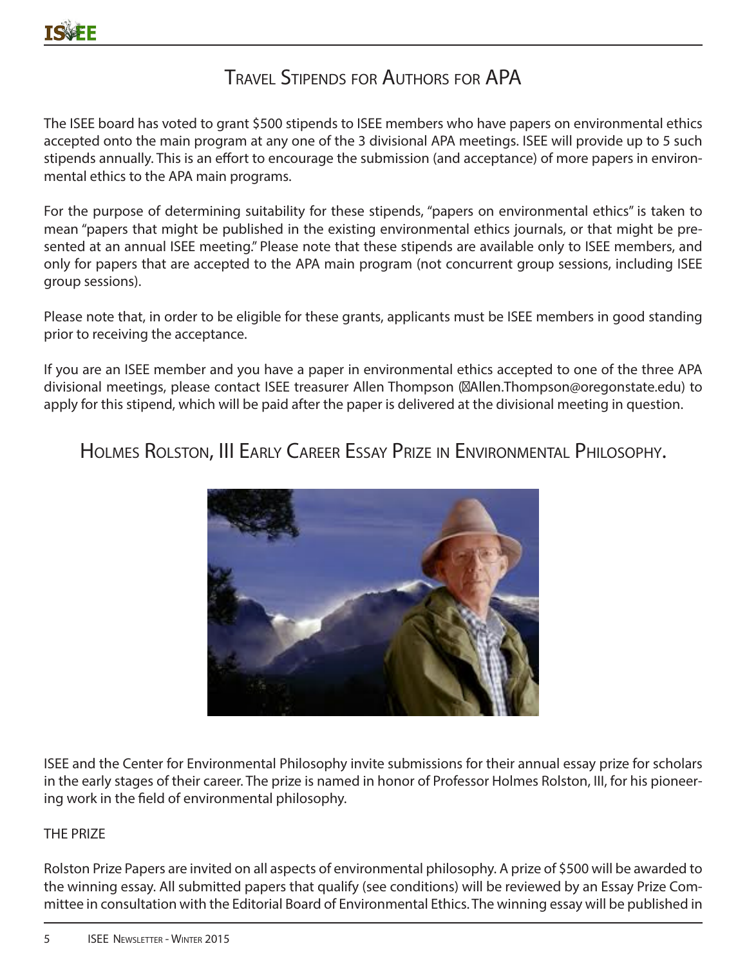# Travel Stipends for Authors for APA

The ISEE board has voted to grant \$500 stipends to ISEE members who have papers on environmental ethics accepted onto the main program at any one of the 3 divisional APA meetings. ISEE will provide up to 5 such stipends annually. This is an effort to encourage the submission (and acceptance) of more papers in environmental ethics to the APA main programs.

For the purpose of determining suitability for these stipends, "papers on environmental ethics" is taken to mean "papers that might be published in the existing environmental ethics journals, or that might be presented at an annual ISEE meeting." Please note that these stipends are available only to ISEE members, and only for papers that are accepted to the APA main program (not concurrent group sessions, including ISEE group sessions).

Please note that, in order to be eligible for these grants, applicants must be ISEE members in good standing prior to receiving the acceptance.

If you are an ISEE member and you have a paper in environmental ethics accepted to one of the three APA divisional meetings, please contact ISEE treasurer Allen Thompson (Allen.Thompson@oregonstate.edu) to apply for this stipend, which will be paid after the paper is delivered at the divisional meeting in question.

Holmes Rolston, III Early Career Essay Prize in Environmental Philosophy.



ISEE and the Center for Environmental Philosophy invite submissions for their annual essay prize for scholars in the early stages of their career. The prize is named in honor of Professor Holmes Rolston, III, for his pioneering work in the field of environmental philosophy.

### THE PRIZE

Rolston Prize Papers are invited on all aspects of environmental philosophy. A prize of \$500 will be awarded to the winning essay. All submitted papers that qualify (see conditions) will be reviewed by an Essay Prize Committee in consultation with the Editorial Board of Environmental Ethics. The winning essay will be published in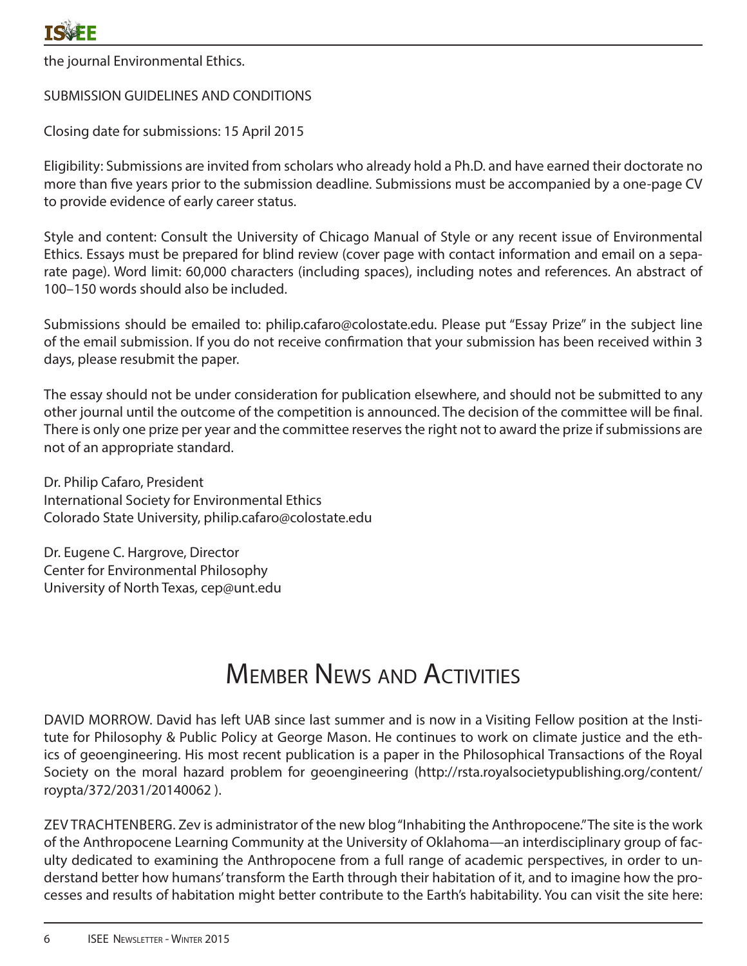the journal Environmental Ethics.

### SUBMISSION GUIDELINES AND CONDITIONS

Closing date for submissions: 15 April 2015

Eligibility: Submissions are invited from scholars who already hold a Ph.D. and have earned their doctorate no more than five years prior to the submission deadline. Submissions must be accompanied by a one-page CV to provide evidence of early career status.

Style and content: Consult the University of Chicago Manual of Style or any recent issue of Environmental Ethics. Essays must be prepared for blind review (cover page with contact information and email on a separate page). Word limit: 60,000 characters (including spaces), including notes and references. An abstract of 100–150 words should also be included.

Submissions should be emailed to: philip.cafaro@colostate.edu. Please put "Essay Prize" in the subject line of the email submission. If you do not receive confirmation that your submission has been received within 3 days, please resubmit the paper.

The essay should not be under consideration for publication elsewhere, and should not be submitted to any other journal until the outcome of the competition is announced. The decision of the committee will be final. There is only one prize per year and the committee reserves the right not to award the prize if submissions are not of an appropriate standard.

Dr. Philip Cafaro, President International Society for Environmental Ethics Colorado State University, philip.cafaro@colostate.edu

Dr. Eugene C. Hargrove, Director Center for Environmental Philosophy University of North Texas, cep@unt.edu

# Member News and Activities

DAVID MORROW. David has left UAB since last summer and is now in a Visiting Fellow position at the Institute for Philosophy & Public Policy at George Mason. He continues to work on climate justice and the ethics of geoengineering. His most recent publication is a paper in the Philosophical Transactions of the Royal Society on the moral hazard problem for geoengineering (http://rsta.royalsocietypublishing.org/content/ roypta/372/2031/20140062 ).

ZEV TRACHTENBERG. Zev is administrator of the new blog "Inhabiting the Anthropocene." The site is the work of the Anthropocene Learning Community at the University of Oklahoma—an interdisciplinary group of faculty dedicated to examining the Anthropocene from a full range of academic perspectives, in order to understand better how humans' transform the Earth through their habitation of it, and to imagine how the processes and results of habitation might better contribute to the Earth's habitability. You can visit the site here: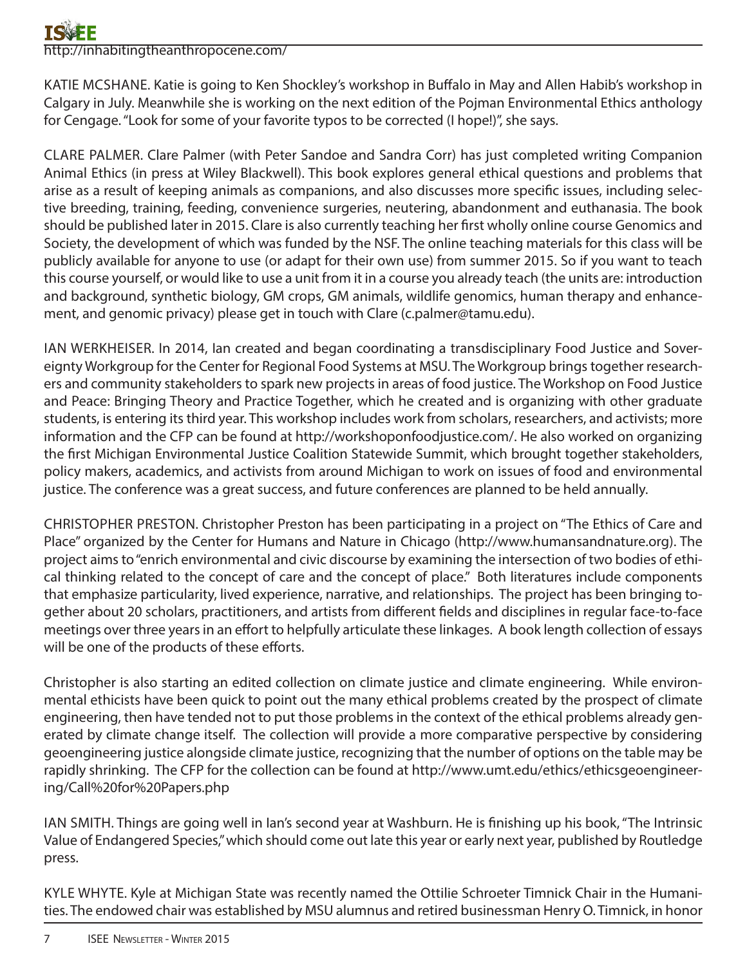# http://inhabitingtheanthropocene.com/

KATIE MCSHANE. Katie is going to Ken Shockley's workshop in Buffalo in May and Allen Habib's workshop in Calgary in July. Meanwhile she is working on the next edition of the Pojman Environmental Ethics anthology for Cengage. "Look for some of your favorite typos to be corrected (I hope!)", she says.

CLARE PALMER. Clare Palmer (with Peter Sandoe and Sandra Corr) has just completed writing Companion Animal Ethics (in press at Wiley Blackwell). This book explores general ethical questions and problems that arise as a result of keeping animals as companions, and also discusses more specific issues, including selective breeding, training, feeding, convenience surgeries, neutering, abandonment and euthanasia. The book should be published later in 2015. Clare is also currently teaching her first wholly online course Genomics and Society, the development of which was funded by the NSF. The online teaching materials for this class will be publicly available for anyone to use (or adapt for their own use) from summer 2015. So if you want to teach this course yourself, or would like to use a unit from it in a course you already teach (the units are: introduction and background, synthetic biology, GM crops, GM animals, wildlife genomics, human therapy and enhancement, and genomic privacy) please get in touch with Clare (c.palmer@tamu.edu).

IAN WERKHEISER. In 2014, Ian created and began coordinating a transdisciplinary Food Justice and Sovereignty Workgroup for the Center for Regional Food Systems at MSU. The Workgroup brings together researchers and community stakeholders to spark new projects in areas of food justice. The Workshop on Food Justice and Peace: Bringing Theory and Practice Together, which he created and is organizing with other graduate students, is entering its third year. This workshop includes work from scholars, researchers, and activists; more information and the CFP can be found at http://workshoponfoodjustice.com/. He also worked on organizing the first Michigan Environmental Justice Coalition Statewide Summit, which brought together stakeholders, policy makers, academics, and activists from around Michigan to work on issues of food and environmental justice. The conference was a great success, and future conferences are planned to be held annually.

CHRISTOPHER PRESTON. Christopher Preston has been participating in a project on "The Ethics of Care and Place" organized by the Center for Humans and Nature in Chicago (http://www.humansandnature.org). The project aims to "enrich environmental and civic discourse by examining the intersection of two bodies of ethical thinking related to the concept of care and the concept of place." Both literatures include components that emphasize particularity, lived experience, narrative, and relationships. The project has been bringing together about 20 scholars, practitioners, and artists from different fields and disciplines in regular face-to-face meetings over three years in an effort to helpfully articulate these linkages. A book length collection of essays will be one of the products of these efforts.

Christopher is also starting an edited collection on climate justice and climate engineering. While environmental ethicists have been quick to point out the many ethical problems created by the prospect of climate engineering, then have tended not to put those problems in the context of the ethical problems already generated by climate change itself. The collection will provide a more comparative perspective by considering geoengineering justice alongside climate justice, recognizing that the number of options on the table may be rapidly shrinking. The CFP for the collection can be found at http://www.umt.edu/ethics/ethicsgeoengineering/Call%20for%20Papers.php

IAN SMITH. Things are going well in Ian's second year at Washburn. He is finishing up his book, "The Intrinsic Value of Endangered Species," which should come out late this year or early next year, published by Routledge press.

KYLE WHYTE. Kyle at Michigan State was recently named the Ottilie Schroeter Timnick Chair in the Humanities. The endowed chair was established by MSU alumnus and retired businessman Henry O. Timnick, in honor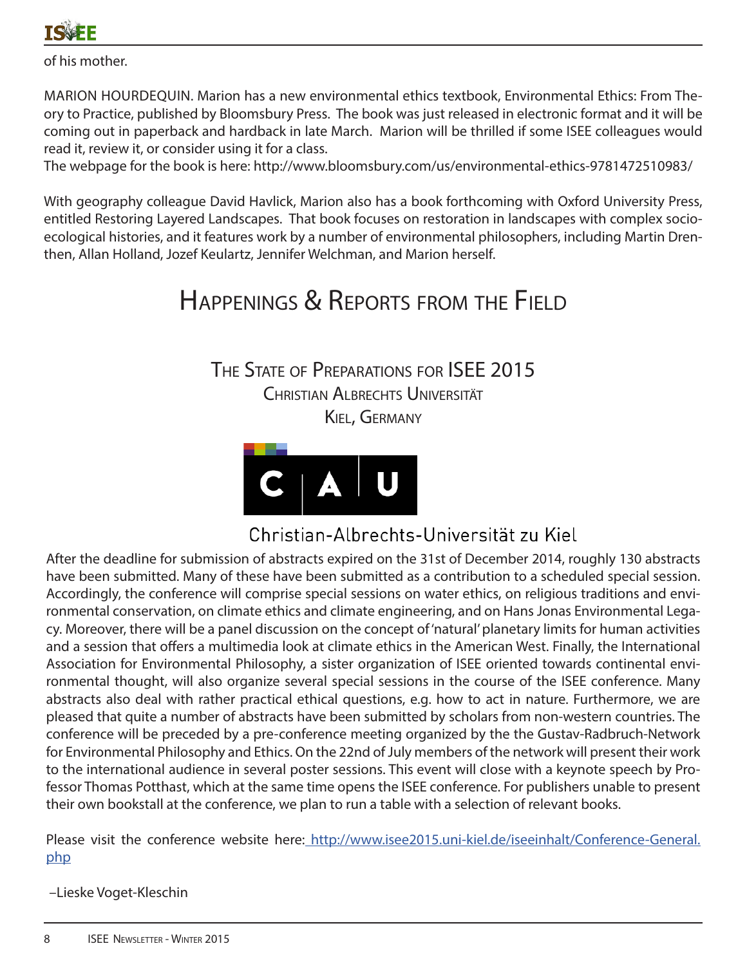

of his mother.

MARION HOURDEQUIN. Marion has a new environmental ethics textbook, Environmental Ethics: From Theory to Practice, published by Bloomsbury Press. The book was just released in electronic format and it will be coming out in paperback and hardback in late March. Marion will be thrilled if some ISEE colleagues would read it, review it, or consider using it for a class.

The webpage for the book is here: http://www.bloomsbury.com/us/environmental-ethics-9781472510983/

With geography colleague David Havlick, Marion also has a book forthcoming with Oxford University Press, entitled Restoring Layered Landscapes. That book focuses on restoration in landscapes with complex socioecological histories, and it features work by a number of environmental philosophers, including Martin Drenthen, Allan Holland, Jozef Keulartz, Jennifer Welchman, and Marion herself.

# Happenings & Reports from the Field

The State of Preparations for ISEE 2015 Christian Albrechts Universität Kiel, Germany



Christian-Albrechts-Universität zu Kiel

After the deadline for submission of abstracts expired on the 31st of December 2014, roughly 130 abstracts have been submitted. Many of these have been submitted as a contribution to a scheduled special session. Accordingly, the conference will comprise special sessions on water ethics, on religious traditions and environmental conservation, on climate ethics and climate engineering, and on Hans Jonas Environmental Legacy. Moreover, there will be a panel discussion on the concept of 'natural' planetary limits for human activities and a session that offers a multimedia look at climate ethics in the American West. Finally, the International Association for Environmental Philosophy, a sister organization of ISEE oriented towards continental environmental thought, will also organize several special sessions in the course of the ISEE conference. Many abstracts also deal with rather practical ethical questions, e.g. how to act in nature. Furthermore, we are pleased that quite a number of abstracts have been submitted by scholars from non-western countries. The conference will be preceded by a pre-conference meeting organized by the the Gustav-Radbruch-Network for Environmental Philosophy and Ethics. On the 22nd of July members of the network will present their work to the international audience in several poster sessions. This event will close with a keynote speech by Professor Thomas Potthast, which at the same time opens the ISEE conference. For publishers unable to present their own bookstall at the conference, we plan to run a table with a selection of relevant books.

Please visit the conference website here: http://www.isee2015.uni-kiel.de/iseeinhalt/Conference-General. php

–Lieske Voget-Kleschin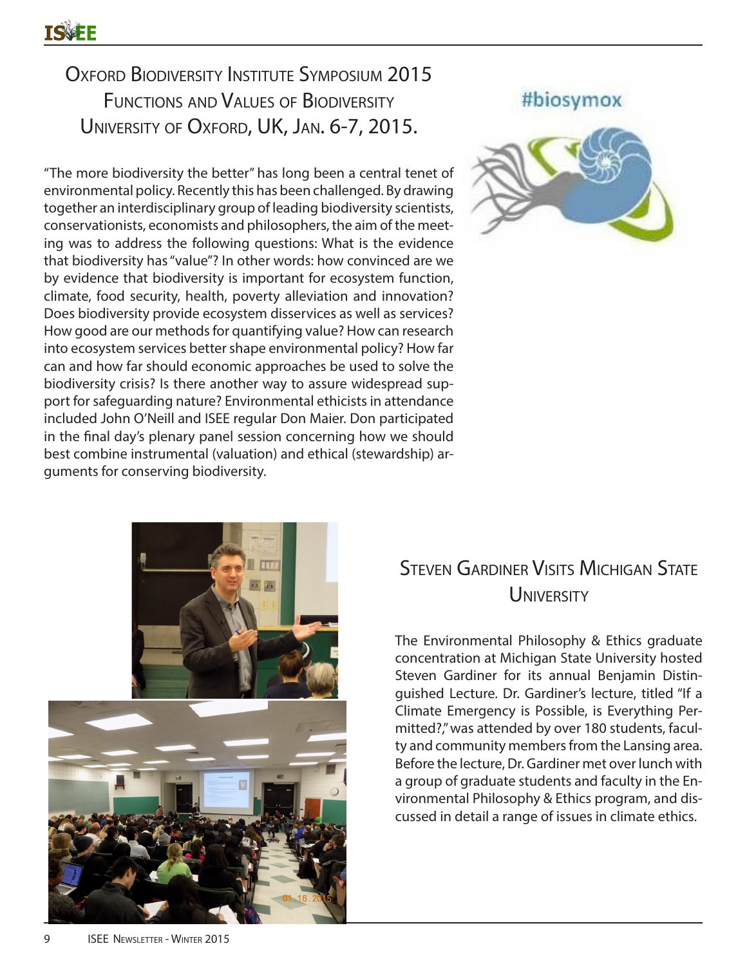# OXFORD BIODIVERSITY INSTITUTE SYMPOSIUM 2015 Functions and Values of Biodiversity University of Oxford, UK, Jan. 6-7, 2015.

"The more biodiversity the better" has long been a central tenet of environmental policy. Recently this has been challenged. By drawing together an interdisciplinary group of leading biodiversity scientists, conservationists, economists and philosophers, the aim of the meeting was to address the following questions: What is the evidence that biodiversity has "value"? In other words: how convinced are we by evidence that biodiversity is important for ecosystem function, climate, food security, health, poverty alleviation and innovation? Does biodiversity provide ecosystem disservices as well as services? How good are our methods for quantifying value? How can research into ecosystem services better shape environmental policy? How far can and how far should economic approaches be used to solve the biodiversity crisis? Is there another way to assure widespread support for safeguarding nature? Environmental ethicists in attendance included John O'Neill and ISEE regular Don Maier. Don participated in the final day's plenary panel session concerning how we should best combine instrumental (valuation) and ethical (stewardship) arguments for conserving biodiversity.





# Steven Gardiner Visits Michigan State **UNIVERSITY**

The Environmental Philosophy & Ethics graduate concentration at Michigan State University hosted Steven Gardiner for its annual Benjamin Distinguished Lecture. Dr. Gardiner's lecture, titled "If a Climate Emergency is Possible, is Everything Permitted?," was attended by over 180 students, faculty and community members from the Lansing area. Before the lecture, Dr. Gardiner met over lunch with a group of graduate students and faculty in the Environmental Philosophy & Ethics program, and discussed in detail a range of issues in climate ethics.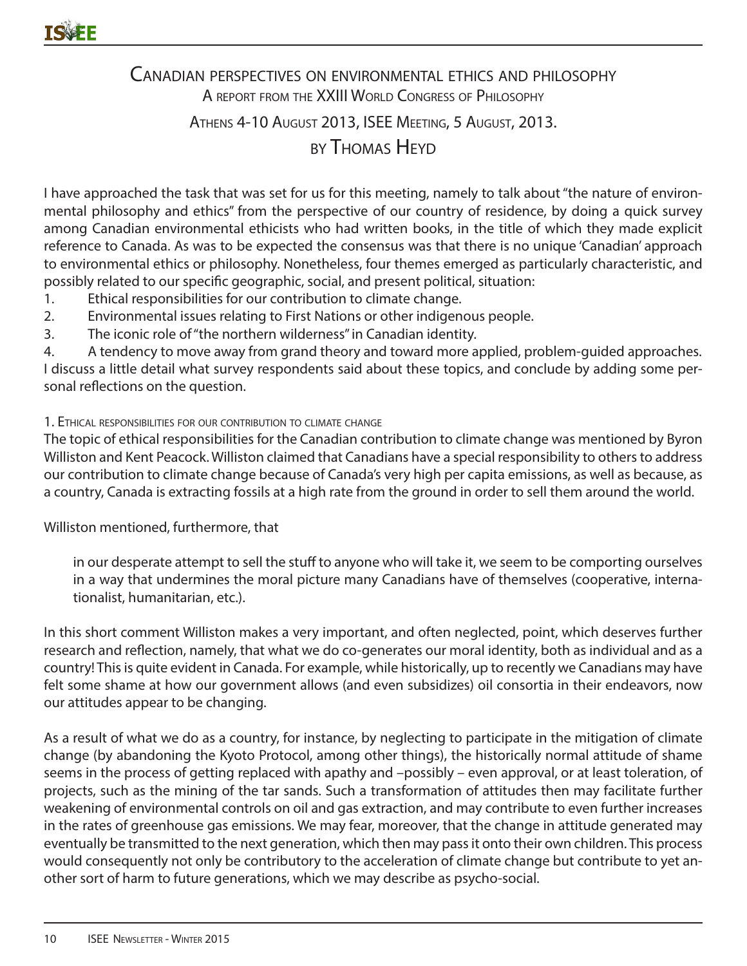# Canadian perspectives on environmental ethics and philosophy A REPORT FROM THE XXIII WORLD CONGRESS OF PHILOSOPHY Athens 4-10 August 2013, ISEE Meeting, 5 August, 2013. by Thomas Heyd

I have approached the task that was set for us for this meeting, namely to talk about "the nature of environmental philosophy and ethics" from the perspective of our country of residence, by doing a quick survey among Canadian environmental ethicists who had written books, in the title of which they made explicit reference to Canada. As was to be expected the consensus was that there is no unique 'Canadian' approach to environmental ethics or philosophy. Nonetheless, four themes emerged as particularly characteristic, and possibly related to our specific geographic, social, and present political, situation:

- 1. Ethical responsibilities for our contribution to climate change.
- 2. Environmental issues relating to First Nations or other indigenous people.
- 3. The iconic role of "the northern wilderness" in Canadian identity.

4. A tendency to move away from grand theory and toward more applied, problem-guided approaches. I discuss a little detail what survey respondents said about these topics, and conclude by adding some personal reflections on the question.

#### 1. Ethical responsibilities for our contribution to climate change

The topic of ethical responsibilities for the Canadian contribution to climate change was mentioned by Byron Williston and Kent Peacock. Williston claimed that Canadians have a special responsibility to others to address our contribution to climate change because of Canada's very high per capita emissions, as well as because, as a country, Canada is extracting fossils at a high rate from the ground in order to sell them around the world.

#### Williston mentioned, furthermore, that

in our desperate attempt to sell the stuff to anyone who will take it, we seem to be comporting ourselves in a way that undermines the moral picture many Canadians have of themselves (cooperative, internationalist, humanitarian, etc.).

In this short comment Williston makes a very important, and often neglected, point, which deserves further research and reflection, namely, that what we do co-generates our moral identity, both as individual and as a country! This is quite evident in Canada. For example, while historically, up to recently we Canadians may have felt some shame at how our government allows (and even subsidizes) oil consortia in their endeavors, now our attitudes appear to be changing.

As a result of what we do as a country, for instance, by neglecting to participate in the mitigation of climate change (by abandoning the Kyoto Protocol, among other things), the historically normal attitude of shame seems in the process of getting replaced with apathy and –possibly – even approval, or at least toleration, of projects, such as the mining of the tar sands. Such a transformation of attitudes then may facilitate further weakening of environmental controls on oil and gas extraction, and may contribute to even further increases in the rates of greenhouse gas emissions. We may fear, moreover, that the change in attitude generated may eventually be transmitted to the next generation, which then may pass it onto their own children. This process would consequently not only be contributory to the acceleration of climate change but contribute to yet another sort of harm to future generations, which we may describe as psycho-social.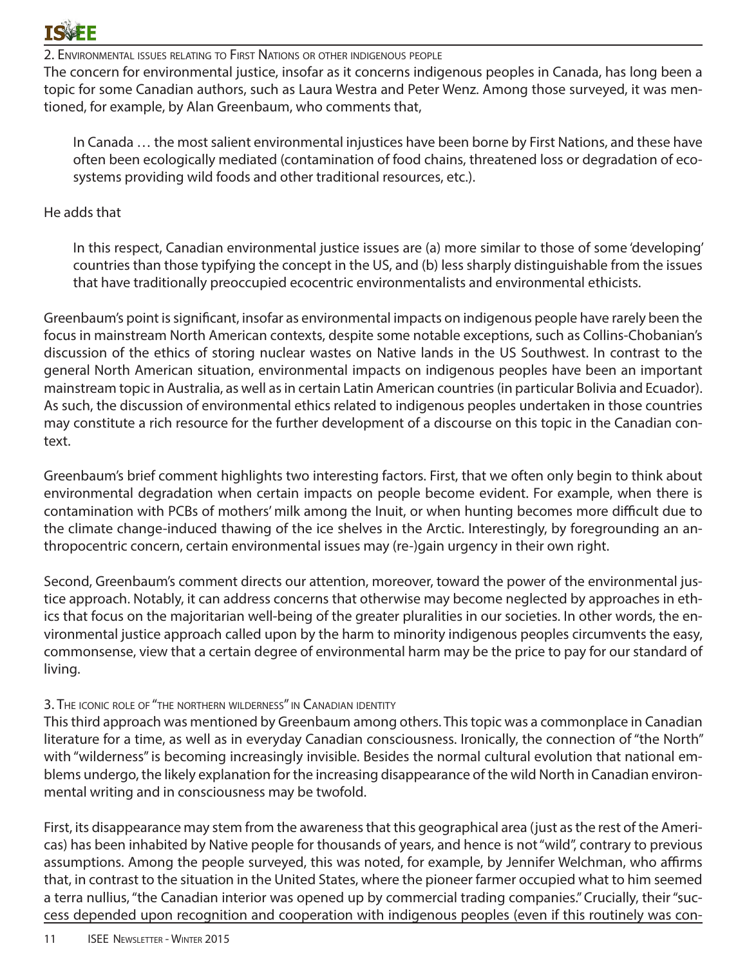

2. Environmental issues relating to First Nations or other indigenous people

The concern for environmental justice, insofar as it concerns indigenous peoples in Canada, has long been a topic for some Canadian authors, such as Laura Westra and Peter Wenz. Among those surveyed, it was mentioned, for example, by Alan Greenbaum, who comments that,

In Canada … the most salient environmental injustices have been borne by First Nations, and these have often been ecologically mediated (contamination of food chains, threatened loss or degradation of ecosystems providing wild foods and other traditional resources, etc.).

#### He adds that

In this respect, Canadian environmental justice issues are (a) more similar to those of some 'developing' countries than those typifying the concept in the US, and (b) less sharply distinguishable from the issues that have traditionally preoccupied ecocentric environmentalists and environmental ethicists.

Greenbaum's point is significant, insofar as environmental impacts on indigenous people have rarely been the focus in mainstream North American contexts, despite some notable exceptions, such as Collins-Chobanian's discussion of the ethics of storing nuclear wastes on Native lands in the US Southwest. In contrast to the general North American situation, environmental impacts on indigenous peoples have been an important mainstream topic in Australia, as well as in certain Latin American countries (in particular Bolivia and Ecuador). As such, the discussion of environmental ethics related to indigenous peoples undertaken in those countries may constitute a rich resource for the further development of a discourse on this topic in the Canadian context.

Greenbaum's brief comment highlights two interesting factors. First, that we often only begin to think about environmental degradation when certain impacts on people become evident. For example, when there is contamination with PCBs of mothers' milk among the Inuit, or when hunting becomes more difficult due to the climate change-induced thawing of the ice shelves in the Arctic. Interestingly, by foregrounding an anthropocentric concern, certain environmental issues may (re-)gain urgency in their own right.

Second, Greenbaum's comment directs our attention, moreover, toward the power of the environmental justice approach. Notably, it can address concerns that otherwise may become neglected by approaches in ethics that focus on the majoritarian well-being of the greater pluralities in our societies. In other words, the environmental justice approach called upon by the harm to minority indigenous peoples circumvents the easy, commonsense, view that a certain degree of environmental harm may be the price to pay for our standard of living.

#### 3. The iconic role of "the northern wilderness" in Canadian identity

This third approach was mentioned by Greenbaum among others. This topic was a commonplace in Canadian literature for a time, as well as in everyday Canadian consciousness. Ironically, the connection of "the North" with "wilderness" is becoming increasingly invisible. Besides the normal cultural evolution that national emblems undergo, the likely explanation for the increasing disappearance of the wild North in Canadian environmental writing and in consciousness may be twofold.

First, its disappearance may stem from the awareness that this geographical area (just as the rest of the Americas) has been inhabited by Native people for thousands of years, and hence is not "wild", contrary to previous assumptions. Among the people surveyed, this was noted, for example, by Jennifer Welchman, who affirms that, in contrast to the situation in the United States, where the pioneer farmer occupied what to him seemed a terra nullius, "the Canadian interior was opened up by commercial trading companies." Crucially, their "success depended upon recognition and cooperation with indigenous peoples (even if this routinely was con-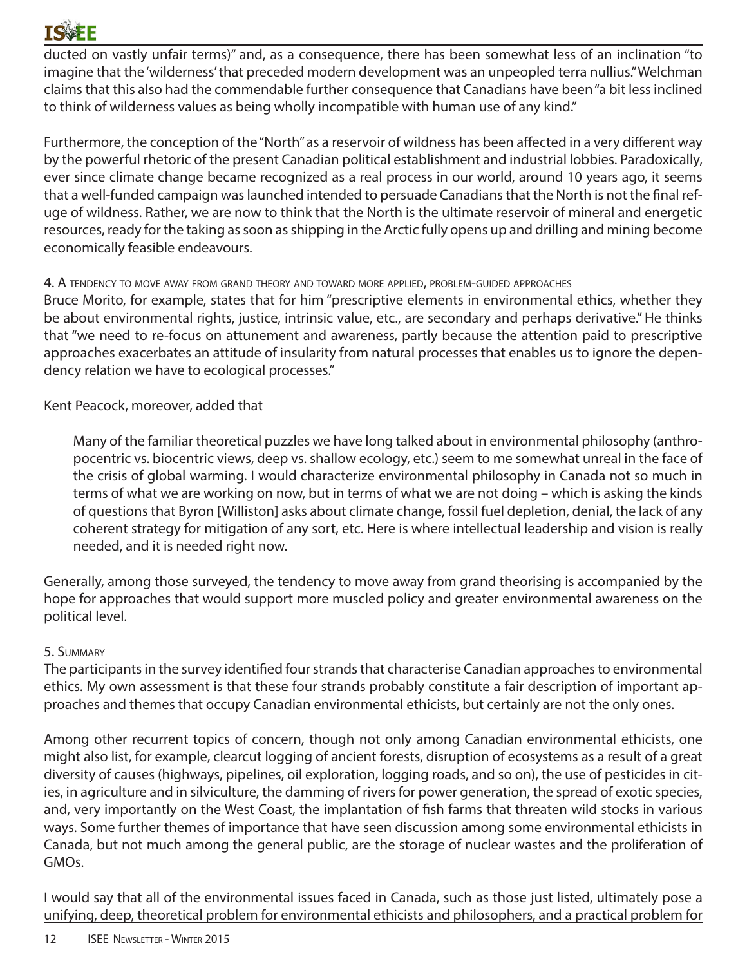# **TSVEF**

ducted on vastly unfair terms)" and, as a consequence, there has been somewhat less of an inclination "to imagine that the 'wilderness' that preceded modern development was an unpeopled terra nullius." Welchman claims that this also had the commendable further consequence that Canadians have been "a bit less inclined to think of wilderness values as being wholly incompatible with human use of any kind."

Furthermore, the conception of the "North" as a reservoir of wildness has been affected in a very different way by the powerful rhetoric of the present Canadian political establishment and industrial lobbies. Paradoxically, ever since climate change became recognized as a real process in our world, around 10 years ago, it seems that a well-funded campaign was launched intended to persuade Canadians that the North is not the final refuge of wildness. Rather, we are now to think that the North is the ultimate reservoir of mineral and energetic resources, ready for the taking as soon as shipping in the Arctic fully opens up and drilling and mining become economically feasible endeavours.

#### 4. A tendency to move away from grand theory and toward more applied, problem-guided approaches

Bruce Morito, for example, states that for him "prescriptive elements in environmental ethics, whether they be about environmental rights, justice, intrinsic value, etc., are secondary and perhaps derivative." He thinks that "we need to re-focus on attunement and awareness, partly because the attention paid to prescriptive approaches exacerbates an attitude of insularity from natural processes that enables us to ignore the dependency relation we have to ecological processes."

Kent Peacock, moreover, added that

Many of the familiar theoretical puzzles we have long talked about in environmental philosophy (anthropocentric vs. biocentric views, deep vs. shallow ecology, etc.) seem to me somewhat unreal in the face of the crisis of global warming. I would characterize environmental philosophy in Canada not so much in terms of what we are working on now, but in terms of what we are not doing – which is asking the kinds of questions that Byron [Williston] asks about climate change, fossil fuel depletion, denial, the lack of any coherent strategy for mitigation of any sort, etc. Here is where intellectual leadership and vision is really needed, and it is needed right now.

Generally, among those surveyed, the tendency to move away from grand theorising is accompanied by the hope for approaches that would support more muscled policy and greater environmental awareness on the political level.

### 5. Summary

The participants in the survey identified four strands that characterise Canadian approaches to environmental ethics. My own assessment is that these four strands probably constitute a fair description of important approaches and themes that occupy Canadian environmental ethicists, but certainly are not the only ones.

Among other recurrent topics of concern, though not only among Canadian environmental ethicists, one might also list, for example, clearcut logging of ancient forests, disruption of ecosystems as a result of a great diversity of causes (highways, pipelines, oil exploration, logging roads, and so on), the use of pesticides in cities, in agriculture and in silviculture, the damming of rivers for power generation, the spread of exotic species, and, very importantly on the West Coast, the implantation of fish farms that threaten wild stocks in various ways. Some further themes of importance that have seen discussion among some environmental ethicists in Canada, but not much among the general public, are the storage of nuclear wastes and the proliferation of GMOs.

I would say that all of the environmental issues faced in Canada, such as those just listed, ultimately pose a unifying, deep, theoretical problem for environmental ethicists and philosophers, and a practical problem for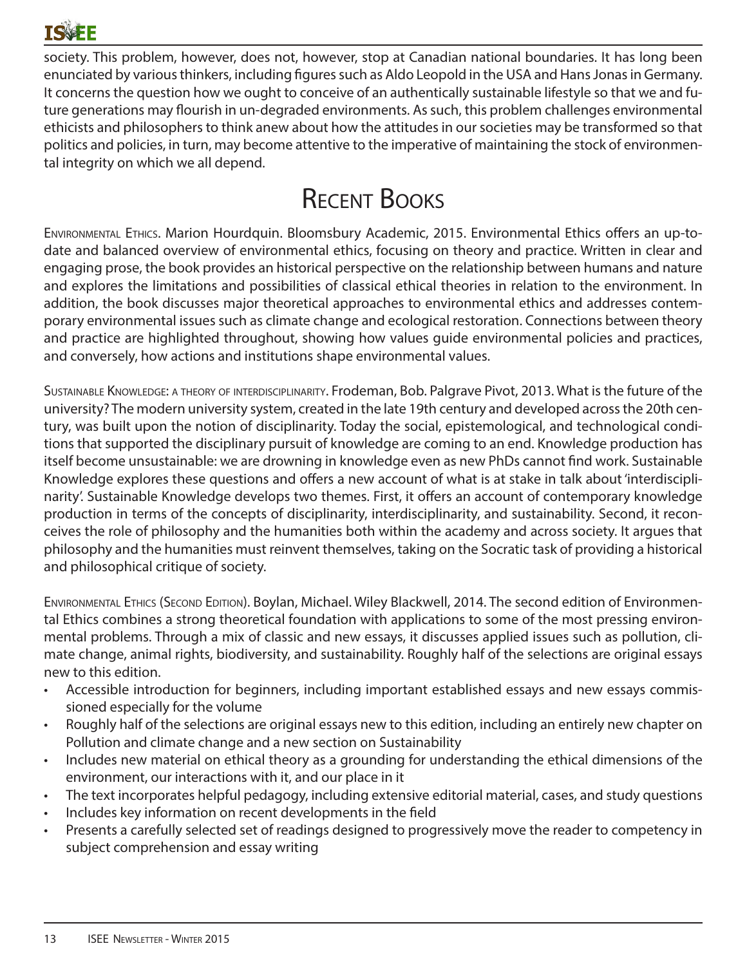

society. This problem, however, does not, however, stop at Canadian national boundaries. It has long been enunciated by various thinkers, including figures such as Aldo Leopold in the USA and Hans Jonas in Germany. It concerns the question how we ought to conceive of an authentically sustainable lifestyle so that we and future generations may flourish in un-degraded environments. As such, this problem challenges environmental ethicists and philosophers to think anew about how the attitudes in our societies may be transformed so that politics and policies, in turn, may become attentive to the imperative of maintaining the stock of environmental integrity on which we all depend.

# Recent Books

Environmental Ethics. Marion Hourdquin. Bloomsbury Academic, 2015. Environmental Ethics offers an up-todate and balanced overview of environmental ethics, focusing on theory and practice. Written in clear and engaging prose, the book provides an historical perspective on the relationship between humans and nature and explores the limitations and possibilities of classical ethical theories in relation to the environment. In addition, the book discusses major theoretical approaches to environmental ethics and addresses contemporary environmental issues such as climate change and ecological restoration. Connections between theory and practice are highlighted throughout, showing how values guide environmental policies and practices, and conversely, how actions and institutions shape environmental values.

Sustainable Knowledge: a theory of interdisciplinarity. Frodeman, Bob. Palgrave Pivot, 2013. What is the future of the university? The modern university system, created in the late 19th century and developed across the 20th century, was built upon the notion of disciplinarity. Today the social, epistemological, and technological conditions that supported the disciplinary pursuit of knowledge are coming to an end. Knowledge production has itself become unsustainable: we are drowning in knowledge even as new PhDs cannot find work. Sustainable Knowledge explores these questions and offers a new account of what is at stake in talk about 'interdisciplinarity'. Sustainable Knowledge develops two themes. First, it offers an account of contemporary knowledge production in terms of the concepts of disciplinarity, interdisciplinarity, and sustainability. Second, it reconceives the role of philosophy and the humanities both within the academy and across society. It argues that philosophy and the humanities must reinvent themselves, taking on the Socratic task of providing a historical and philosophical critique of society.

Environmental Ethics (Second Edition). Boylan, Michael. Wiley Blackwell, 2014. The second edition of Environmental Ethics combines a strong theoretical foundation with applications to some of the most pressing environmental problems. Through a mix of classic and new essays, it discusses applied issues such as pollution, climate change, animal rights, biodiversity, and sustainability. Roughly half of the selections are original essays new to this edition.

- Accessible introduction for beginners, including important established essays and new essays commissioned especially for the volume
- Roughly half of the selections are original essays new to this edition, including an entirely new chapter on Pollution and climate change and a new section on Sustainability
- Includes new material on ethical theory as a grounding for understanding the ethical dimensions of the environment, our interactions with it, and our place in it
- The text incorporates helpful pedagogy, including extensive editorial material, cases, and study questions
- Includes key information on recent developments in the field
- Presents a carefully selected set of readings designed to progressively move the reader to competency in subject comprehension and essay writing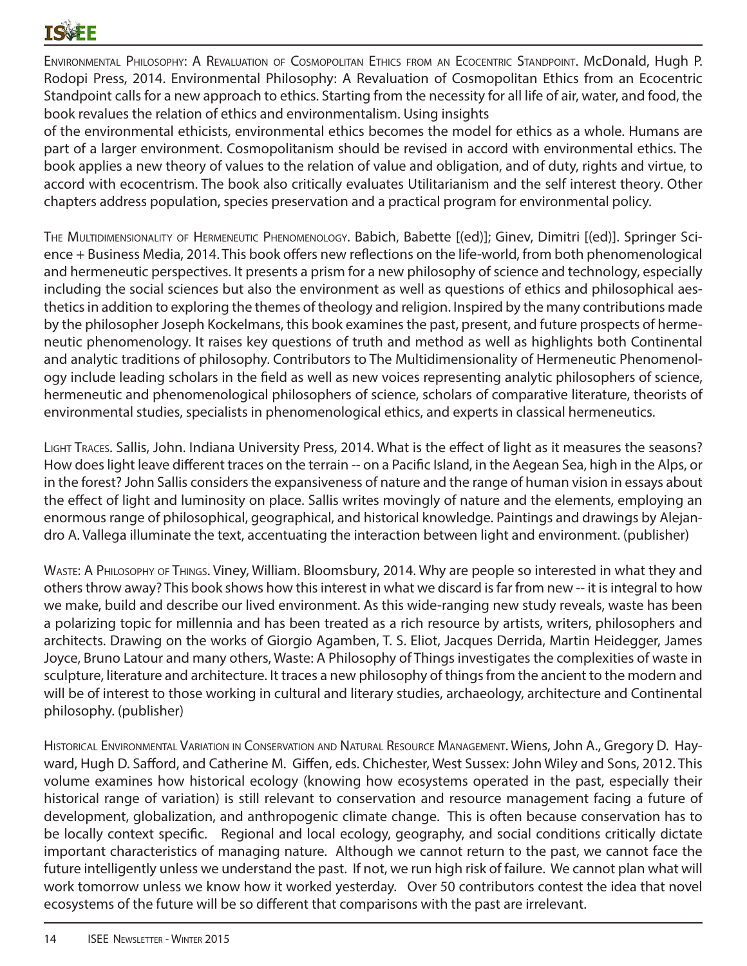Environmental Philosophy: A Revaluation of Cosmopolitan Ethics from an Ecocentric Standpoint. McDonald, Hugh P. Rodopi Press, 2014. Environmental Philosophy: A Revaluation of Cosmopolitan Ethics from an Ecocentric Standpoint calls for a new approach to ethics. Starting from the necessity for all life of air, water, and food, the book revalues the relation of ethics and environmentalism. Using insights

of the environmental ethicists, environmental ethics becomes the model for ethics as a whole. Humans are part of a larger environment. Cosmopolitanism should be revised in accord with environmental ethics. The book applies a new theory of values to the relation of value and obligation, and of duty, rights and virtue, to accord with ecocentrism. The book also critically evaluates Utilitarianism and the self interest theory. Other chapters address population, species preservation and a practical program for environmental policy.

The Multidimensionality of Hermeneutic Phenomenology. Babich, Babette [(ed)]; Ginev, Dimitri [(ed)]. Springer Science + Business Media, 2014. This book offers new reflections on the life-world, from both phenomenological and hermeneutic perspectives. It presents a prism for a new philosophy of science and technology, especially including the social sciences but also the environment as well as questions of ethics and philosophical aesthetics in addition to exploring the themes of theology and religion. Inspired by the many contributions made by the philosopher Joseph Kockelmans, this book examines the past, present, and future prospects of hermeneutic phenomenology. It raises key questions of truth and method as well as highlights both Continental and analytic traditions of philosophy. Contributors to The Multidimensionality of Hermeneutic Phenomenology include leading scholars in the field as well as new voices representing analytic philosophers of science, hermeneutic and phenomenological philosophers of science, scholars of comparative literature, theorists of environmental studies, specialists in phenomenological ethics, and experts in classical hermeneutics.

Light Traces. Sallis, John. Indiana University Press, 2014. What is the effect of light as it measures the seasons? How does light leave different traces on the terrain -- on a Pacific Island, in the Aegean Sea, high in the Alps, or in the forest? John Sallis considers the expansiveness of nature and the range of human vision in essays about the effect of light and luminosity on place. Sallis writes movingly of nature and the elements, employing an enormous range of philosophical, geographical, and historical knowledge. Paintings and drawings by Alejandro A. Vallega illuminate the text, accentuating the interaction between light and environment. (publisher)

WASTE: A PHILOSOPHY OF THINGS. Viney, William. Bloomsbury, 2014. Why are people so interested in what they and others throw away? This book shows how this interest in what we discard is far from new -- it is integral to how we make, build and describe our lived environment. As this wide-ranging new study reveals, waste has been a polarizing topic for millennia and has been treated as a rich resource by artists, writers, philosophers and architects. Drawing on the works of Giorgio Agamben, T. S. Eliot, Jacques Derrida, Martin Heidegger, James Joyce, Bruno Latour and many others, Waste: A Philosophy of Things investigates the complexities of waste in sculpture, literature and architecture. It traces a new philosophy of things from the ancient to the modern and will be of interest to those working in cultural and literary studies, archaeology, architecture and Continental philosophy. (publisher)

Historical Environmental Variation in Conservation and Natural Resource Management. Wiens, John A., Gregory D. Hayward, Hugh D. Safford, and Catherine M. Giffen, eds. Chichester, West Sussex: John Wiley and Sons, 2012. This volume examines how historical ecology (knowing how ecosystems operated in the past, especially their historical range of variation) is still relevant to conservation and resource management facing a future of development, globalization, and anthropogenic climate change. This is often because conservation has to be locally context specific. Regional and local ecology, geography, and social conditions critically dictate important characteristics of managing nature. Although we cannot return to the past, we cannot face the future intelligently unless we understand the past. If not, we run high risk of failure. We cannot plan what will work tomorrow unless we know how it worked yesterday. Over 50 contributors contest the idea that novel ecosystems of the future will be so different that comparisons with the past are irrelevant.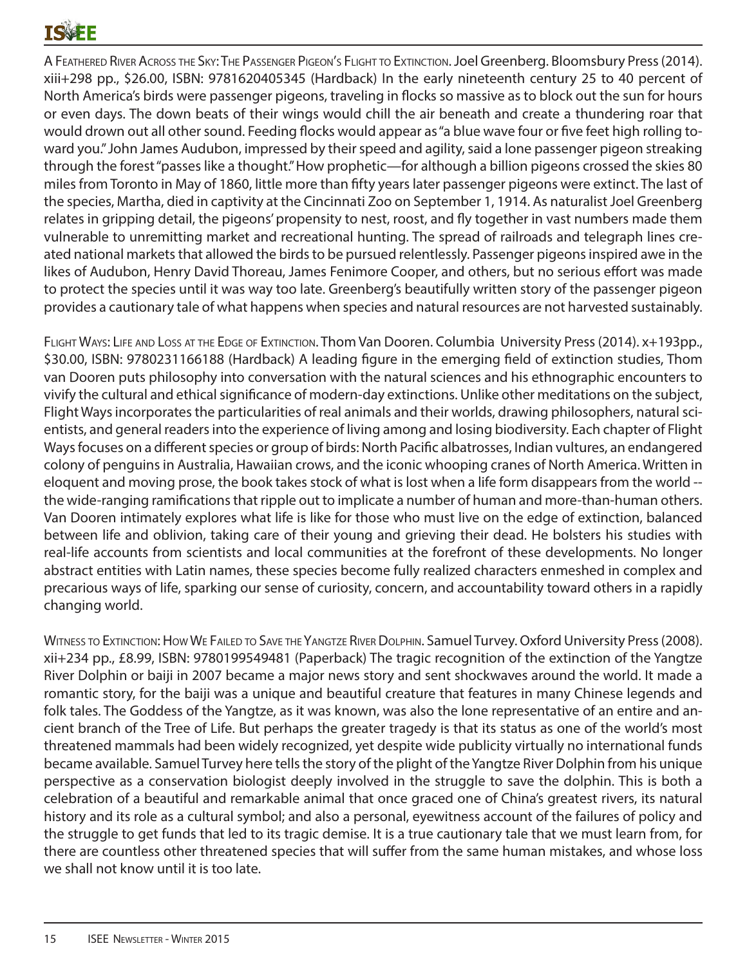# TQVEF

A Feathered River Across the Sky: The Passenger Pigeon's Flight to Extinction. Joel Greenberg. Bloomsbury Press (2014). xiii+298 pp., \$26.00, ISBN: 9781620405345 (Hardback) In the early nineteenth century 25 to 40 percent of North America's birds were passenger pigeons, traveling in flocks so massive as to block out the sun for hours or even days. The down beats of their wings would chill the air beneath and create a thundering roar that would drown out all other sound. Feeding flocks would appear as "a blue wave four or five feet high rolling toward you." John James Audubon, impressed by their speed and agility, said a lone passenger pigeon streaking through the forest "passes like a thought." How prophetic—for although a billion pigeons crossed the skies 80 miles from Toronto in May of 1860, little more than fifty years later passenger pigeons were extinct. The last of the species, Martha, died in captivity at the Cincinnati Zoo on September 1, 1914. As naturalist Joel Greenberg relates in gripping detail, the pigeons' propensity to nest, roost, and fly together in vast numbers made them vulnerable to unremitting market and recreational hunting. The spread of railroads and telegraph lines created national markets that allowed the birds to be pursued relentlessly. Passenger pigeons inspired awe in the likes of Audubon, Henry David Thoreau, James Fenimore Cooper, and others, but no serious effort was made to protect the species until it was way too late. Greenberg's beautifully written story of the passenger pigeon provides a cautionary tale of what happens when species and natural resources are not harvested sustainably.

FLIGHT WAYS: LIFE AND LOSS AT THE EDGE OF EXTINCTION. Thom Van Dooren. Columbia University Press (2014). x+193pp., \$30.00, ISBN: 9780231166188 (Hardback) A leading figure in the emerging field of extinction studies, Thom van Dooren puts philosophy into conversation with the natural sciences and his ethnographic encounters to vivify the cultural and ethical significance of modern-day extinctions. Unlike other meditations on the subject, Flight Ways incorporates the particularities of real animals and their worlds, drawing philosophers, natural scientists, and general readers into the experience of living among and losing biodiversity. Each chapter of Flight Ways focuses on a different species or group of birds: North Pacific albatrosses, Indian vultures, an endangered colony of penguins in Australia, Hawaiian crows, and the iconic whooping cranes of North America. Written in eloquent and moving prose, the book takes stock of what is lost when a life form disappears from the world - the wide-ranging ramifications that ripple out to implicate a number of human and more-than-human others. Van Dooren intimately explores what life is like for those who must live on the edge of extinction, balanced between life and oblivion, taking care of their young and grieving their dead. He bolsters his studies with real-life accounts from scientists and local communities at the forefront of these developments. No longer abstract entities with Latin names, these species become fully realized characters enmeshed in complex and precarious ways of life, sparking our sense of curiosity, concern, and accountability toward others in a rapidly changing world.

WITNESS TO EXTINCTION: HOW WE FAILED TO SAVE THE YANGTZE RIVER DOLPHIN. Samuel Turvey. Oxford University Press (2008). xii+234 pp., £8.99, ISBN: 9780199549481 (Paperback) The tragic recognition of the extinction of the Yangtze River Dolphin or baiji in 2007 became a major news story and sent shockwaves around the world. It made a romantic story, for the baiji was a unique and beautiful creature that features in many Chinese legends and folk tales. The Goddess of the Yangtze, as it was known, was also the lone representative of an entire and ancient branch of the Tree of Life. But perhaps the greater tragedy is that its status as one of the world's most threatened mammals had been widely recognized, yet despite wide publicity virtually no international funds became available. Samuel Turvey here tells the story of the plight of the Yangtze River Dolphin from his unique perspective as a conservation biologist deeply involved in the struggle to save the dolphin. This is both a celebration of a beautiful and remarkable animal that once graced one of China's greatest rivers, its natural history and its role as a cultural symbol; and also a personal, eyewitness account of the failures of policy and the struggle to get funds that led to its tragic demise. It is a true cautionary tale that we must learn from, for there are countless other threatened species that will suffer from the same human mistakes, and whose loss we shall not know until it is too late.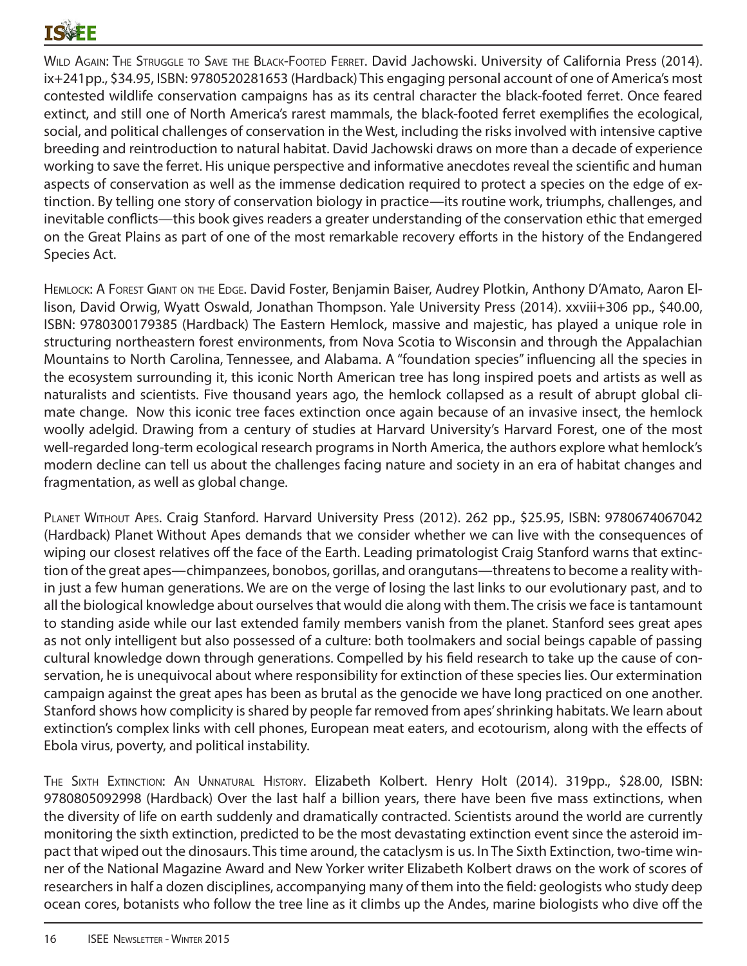# TQVEE

WILD AGAIN: THE STRUGGLE TO SAVE THE BLACK-FOOTED FERRET. David Jachowski. University of California Press (2014). ix+241pp., \$34.95, ISBN: 9780520281653 (Hardback) This engaging personal account of one of America's most contested wildlife conservation campaigns has as its central character the black-footed ferret. Once feared extinct, and still one of North America's rarest mammals, the black-footed ferret exemplifies the ecological, social, and political challenges of conservation in the West, including the risks involved with intensive captive breeding and reintroduction to natural habitat. David Jachowski draws on more than a decade of experience working to save the ferret. His unique perspective and informative anecdotes reveal the scientific and human aspects of conservation as well as the immense dedication required to protect a species on the edge of extinction. By telling one story of conservation biology in practice—its routine work, triumphs, challenges, and inevitable conflicts—this book gives readers a greater understanding of the conservation ethic that emerged on the Great Plains as part of one of the most remarkable recovery efforts in the history of the Endangered Species Act.

Hemlock: A Forest Giant on the Edge. David Foster, Benjamin Baiser, Audrey Plotkin, Anthony D'Amato, Aaron Ellison, David Orwig, Wyatt Oswald, Jonathan Thompson. Yale University Press (2014). xxviii+306 pp., \$40.00, ISBN: 9780300179385 (Hardback) The Eastern Hemlock, massive and majestic, has played a unique role in structuring northeastern forest environments, from Nova Scotia to Wisconsin and through the Appalachian Mountains to North Carolina, Tennessee, and Alabama. A "foundation species" influencing all the species in the ecosystem surrounding it, this iconic North American tree has long inspired poets and artists as well as naturalists and scientists. Five thousand years ago, the hemlock collapsed as a result of abrupt global climate change. Now this iconic tree faces extinction once again because of an invasive insect, the hemlock woolly adelgid. Drawing from a century of studies at Harvard University's Harvard Forest, one of the most well-regarded long-term ecological research programs in North America, the authors explore what hemlock's modern decline can tell us about the challenges facing nature and society in an era of habitat changes and fragmentation, as well as global change.

PLANET WITHOUT APES. Craig Stanford. Harvard University Press (2012). 262 pp., \$25.95, ISBN: 9780674067042 (Hardback) Planet Without Apes demands that we consider whether we can live with the consequences of wiping our closest relatives off the face of the Earth. Leading primatologist Craig Stanford warns that extinction of the great apes—chimpanzees, bonobos, gorillas, and orangutans—threatens to become a reality within just a few human generations. We are on the verge of losing the last links to our evolutionary past, and to all the biological knowledge about ourselves that would die along with them. The crisis we face is tantamount to standing aside while our last extended family members vanish from the planet. Stanford sees great apes as not only intelligent but also possessed of a culture: both toolmakers and social beings capable of passing cultural knowledge down through generations. Compelled by his field research to take up the cause of conservation, he is unequivocal about where responsibility for extinction of these species lies. Our extermination campaign against the great apes has been as brutal as the genocide we have long practiced on one another. Stanford shows how complicity is shared by people far removed from apes' shrinking habitats. We learn about extinction's complex links with cell phones, European meat eaters, and ecotourism, along with the effects of Ebola virus, poverty, and political instability.

The Sixth Extinction: An Unnatural History. Elizabeth Kolbert. Henry Holt (2014). 319pp., \$28.00, ISBN: 9780805092998 (Hardback) Over the last half a billion years, there have been five mass extinctions, when the diversity of life on earth suddenly and dramatically contracted. Scientists around the world are currently monitoring the sixth extinction, predicted to be the most devastating extinction event since the asteroid impact that wiped out the dinosaurs. This time around, the cataclysm is us. In The Sixth Extinction, two-time winner of the National Magazine Award and New Yorker writer Elizabeth Kolbert draws on the work of scores of researchers in half a dozen disciplines, accompanying many of them into the field: geologists who study deep ocean cores, botanists who follow the tree line as it climbs up the Andes, marine biologists who dive off the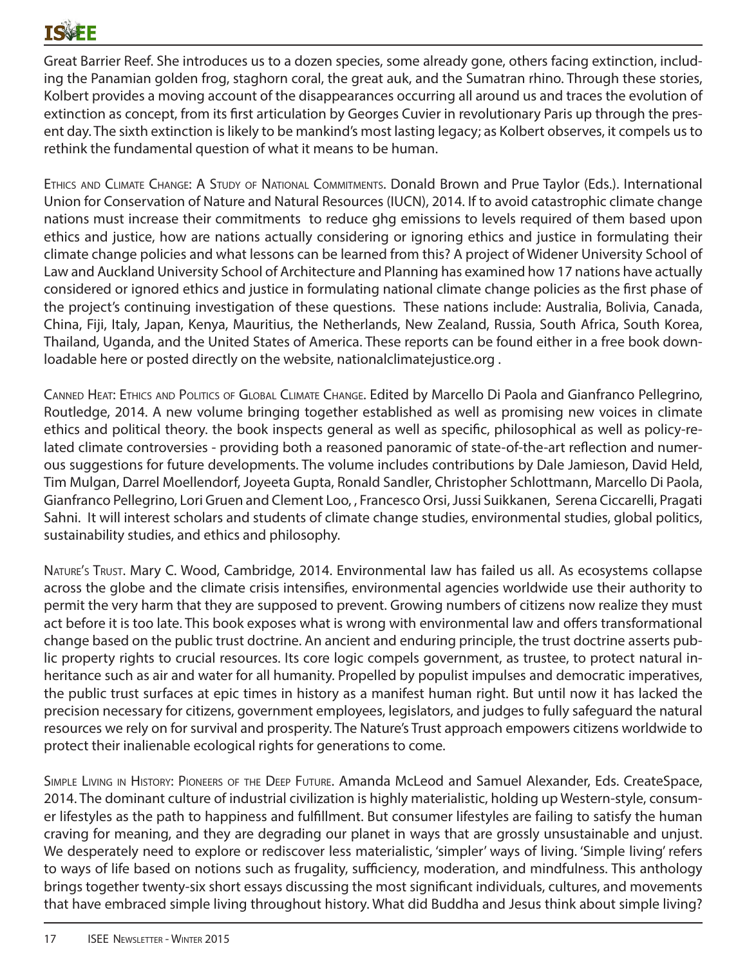Great Barrier Reef. She introduces us to a dozen species, some already gone, others facing extinction, including the Panamian golden frog, staghorn coral, the great auk, and the Sumatran rhino. Through these stories, Kolbert provides a moving account of the disappearances occurring all around us and traces the evolution of extinction as concept, from its first articulation by Georges Cuvier in revolutionary Paris up through the present day. The sixth extinction is likely to be mankind's most lasting legacy; as Kolbert observes, it compels us to rethink the fundamental question of what it means to be human.

Ethics and Climate Change: A Study of National Commitments. Donald Brown and Prue Taylor (Eds.). International Union for Conservation of Nature and Natural Resources (IUCN), 2014. If to avoid catastrophic climate change nations must increase their commitments to reduce ghg emissions to levels required of them based upon ethics and justice, how are nations actually considering or ignoring ethics and justice in formulating their climate change policies and what lessons can be learned from this? A project of Widener University School of Law and Auckland University School of Architecture and Planning has examined how 17 nations have actually considered or ignored ethics and justice in formulating national climate change policies as the first phase of the project's continuing investigation of these questions. These nations include: Australia, Bolivia, Canada, China, Fiji, Italy, Japan, Kenya, Mauritius, the Netherlands, New Zealand, Russia, South Africa, South Korea, Thailand, Uganda, and the United States of America. These reports can be found either in a free book downloadable here or posted directly on the website, nationalclimatejustice.org .

Canned Heat: Ethics and Politics of Global Climate Change. Edited by Marcello Di Paola and Gianfranco Pellegrino, Routledge, 2014. A new volume bringing together established as well as promising new voices in climate ethics and political theory. the book inspects general as well as specific, philosophical as well as policy-related climate controversies - providing both a reasoned panoramic of state-of-the-art reflection and numerous suggestions for future developments. The volume includes contributions by Dale Jamieson, David Held, Tim Mulgan, Darrel Moellendorf, Joyeeta Gupta, Ronald Sandler, Christopher Schlottmann, Marcello Di Paola, Gianfranco Pellegrino, Lori Gruen and Clement Loo, , Francesco Orsi, Jussi Suikkanen, Serena Ciccarelli, Pragati Sahni. It will interest scholars and students of climate change studies, environmental studies, global politics, sustainability studies, and ethics and philosophy.

Nature's Trust. Mary C. Wood, Cambridge, 2014. Environmental law has failed us all. As ecosystems collapse across the globe and the climate crisis intensifies, environmental agencies worldwide use their authority to permit the very harm that they are supposed to prevent. Growing numbers of citizens now realize they must act before it is too late. This book exposes what is wrong with environmental law and offers transformational change based on the public trust doctrine. An ancient and enduring principle, the trust doctrine asserts public property rights to crucial resources. Its core logic compels government, as trustee, to protect natural inheritance such as air and water for all humanity. Propelled by populist impulses and democratic imperatives, the public trust surfaces at epic times in history as a manifest human right. But until now it has lacked the precision necessary for citizens, government employees, legislators, and judges to fully safeguard the natural resources we rely on for survival and prosperity. The Nature's Trust approach empowers citizens worldwide to protect their inalienable ecological rights for generations to come.

Simple Living in History: Pioneers of the Deep Future. Amanda McLeod and Samuel Alexander, Eds. CreateSpace, 2014. The dominant culture of industrial civilization is highly materialistic, holding up Western-style, consumer lifestyles as the path to happiness and fulfillment. But consumer lifestyles are failing to satisfy the human craving for meaning, and they are degrading our planet in ways that are grossly unsustainable and unjust. We desperately need to explore or rediscover less materialistic, 'simpler' ways of living. 'Simple living' refers to ways of life based on notions such as frugality, sufficiency, moderation, and mindfulness. This anthology brings together twenty-six short essays discussing the most significant individuals, cultures, and movements that have embraced simple living throughout history. What did Buddha and Jesus think about simple living?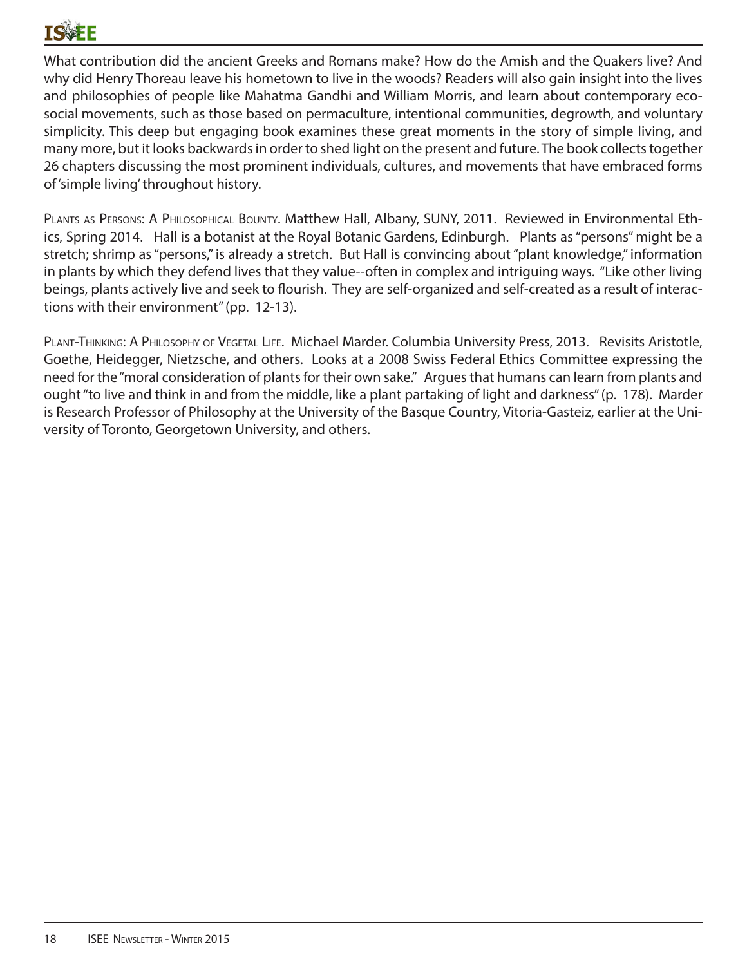# TQVEF

What contribution did the ancient Greeks and Romans make? How do the Amish and the Quakers live? And why did Henry Thoreau leave his hometown to live in the woods? Readers will also gain insight into the lives and philosophies of people like Mahatma Gandhi and William Morris, and learn about contemporary ecosocial movements, such as those based on permaculture, intentional communities, degrowth, and voluntary simplicity. This deep but engaging book examines these great moments in the story of simple living, and many more, but it looks backwards in order to shed light on the present and future. The book collects together 26 chapters discussing the most prominent individuals, cultures, and movements that have embraced forms of 'simple living' throughout history.

PLANTS AS PERSONS: A PHILOSOPHICAL BOUNTY. Matthew Hall, Albany, SUNY, 2011. Reviewed in Environmental Ethics, Spring 2014. Hall is a botanist at the Royal Botanic Gardens, Edinburgh. Plants as "persons" might be a stretch; shrimp as "persons," is already a stretch. But Hall is convincing about "plant knowledge," information in plants by which they defend lives that they value--often in complex and intriguing ways. "Like other living beings, plants actively live and seek to flourish. They are self-organized and self-created as a result of interactions with their environment" (pp. 12-13).

PLANT-THINKING: A PHILOSOPHY OF VEGETAL LIFE. Michael Marder. Columbia University Press, 2013. Revisits Aristotle, Goethe, Heidegger, Nietzsche, and others. Looks at a 2008 Swiss Federal Ethics Committee expressing the need for the "moral consideration of plants for their own sake." Argues that humans can learn from plants and ought "to live and think in and from the middle, like a plant partaking of light and darkness" (p. 178). Marder is Research Professor of Philosophy at the University of the Basque Country, Vitoria-Gasteiz, earlier at the University of Toronto, Georgetown University, and others.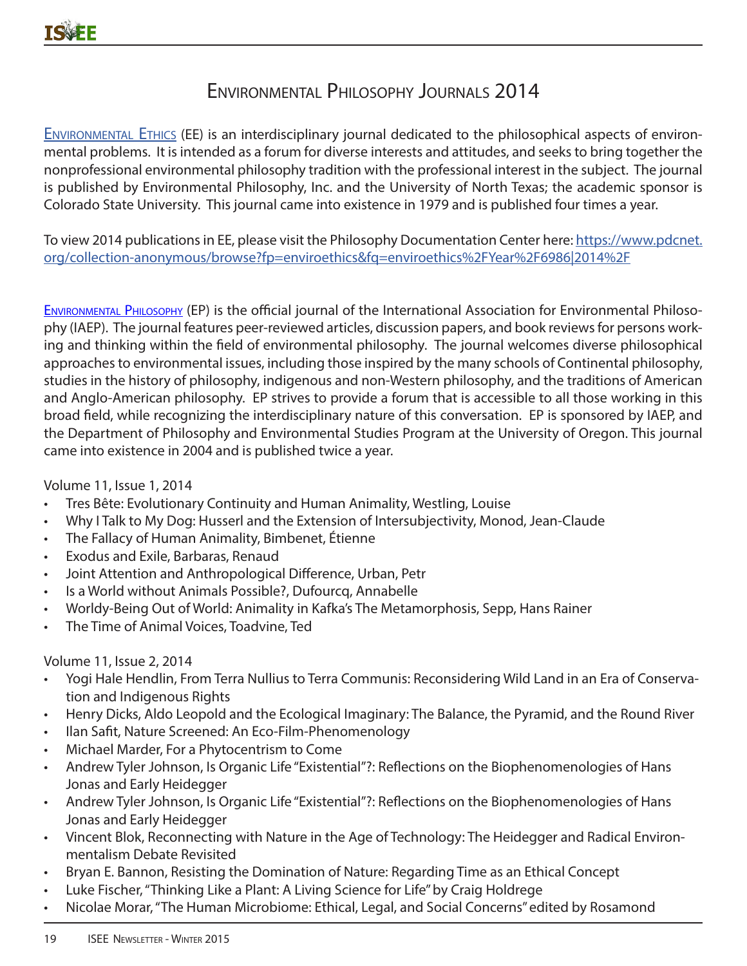# Environmental Philosophy Journals 2014

Environmental Ethics (EE) is an interdisciplinary journal dedicated to the philosophical aspects of environmental problems. It is intended as a forum for diverse interests and attitudes, and seeks to bring together the nonprofessional environmental philosophy tradition with the professional interest in the subject. The journal is published by Environmental Philosophy, Inc. and the University of North Texas; the academic sponsor is Colorado State University. This journal came into existence in 1979 and is published four times a year.

To view 2014 publications in EE, please visit the Philosophy Documentation Center here: https://www.pdcnet. org/collection-anonymous/browse?fp=enviroethics&fq=enviroethics%2FYear%2F6986|2014%2F

Environmental Philosophy (EP) is the official journal of the International Association for Environmental Philosophy (IAEP). The journal features peer-reviewed articles, discussion papers, and book reviews for persons working and thinking within the field of environmental philosophy. The journal welcomes diverse philosophical approaches to environmental issues, including those inspired by the many schools of Continental philosophy, studies in the history of philosophy, indigenous and non-Western philosophy, and the traditions of American and Anglo-American philosophy. EP strives to provide a forum that is accessible to all those working in this broad field, while recognizing the interdisciplinary nature of this conversation. EP is sponsored by IAEP, and the Department of Philosophy and Environmental Studies Program at the University of Oregon. This journal came into existence in 2004 and is published twice a year.

Volume 11, Issue 1, 2014

- Tres Bête: Evolutionary Continuity and Human Animality, Westling, Louise
- Why I Talk to My Dog: Husserl and the Extension of Intersubjectivity, Monod, Jean-Claude
- The Fallacy of Human Animality, Bimbenet, Étienne
- Exodus and Exile, Barbaras, Renaud
- Joint Attention and Anthropological Difference, Urban, Petr
- Is a World without Animals Possible?, Dufourcq, Annabelle
- Worldy-Being Out of World: Animality in Kafka's The Metamorphosis, Sepp, Hans Rainer
- The Time of Animal Voices, Toadvine, Ted

Volume 11, Issue 2, 2014

- Yogi Hale Hendlin, From Terra Nullius to Terra Communis: Reconsidering Wild Land in an Era of Conservation and Indigenous Rights
- Henry Dicks, Aldo Leopold and the Ecological Imaginary: The Balance, the Pyramid, and the Round River
- Ilan Safit, Nature Screened: An Eco-Film-Phenomenology
- Michael Marder, For a Phytocentrism to Come
- Andrew Tyler Johnson, Is Organic Life "Existential"?: Reflections on the Biophenomenologies of Hans Jonas and Early Heidegger
- Andrew Tyler Johnson, Is Organic Life "Existential"?: Reflections on the Biophenomenologies of Hans Jonas and Early Heidegger
- Vincent Blok, Reconnecting with Nature in the Age of Technology: The Heidegger and Radical Environmentalism Debate Revisited
- Bryan E. Bannon, Resisting the Domination of Nature: Regarding Time as an Ethical Concept
- Luke Fischer, "Thinking Like a Plant: A Living Science for Life" by Craig Holdrege
- Nicolae Morar, "The Human Microbiome: Ethical, Legal, and Social Concerns" edited by Rosamond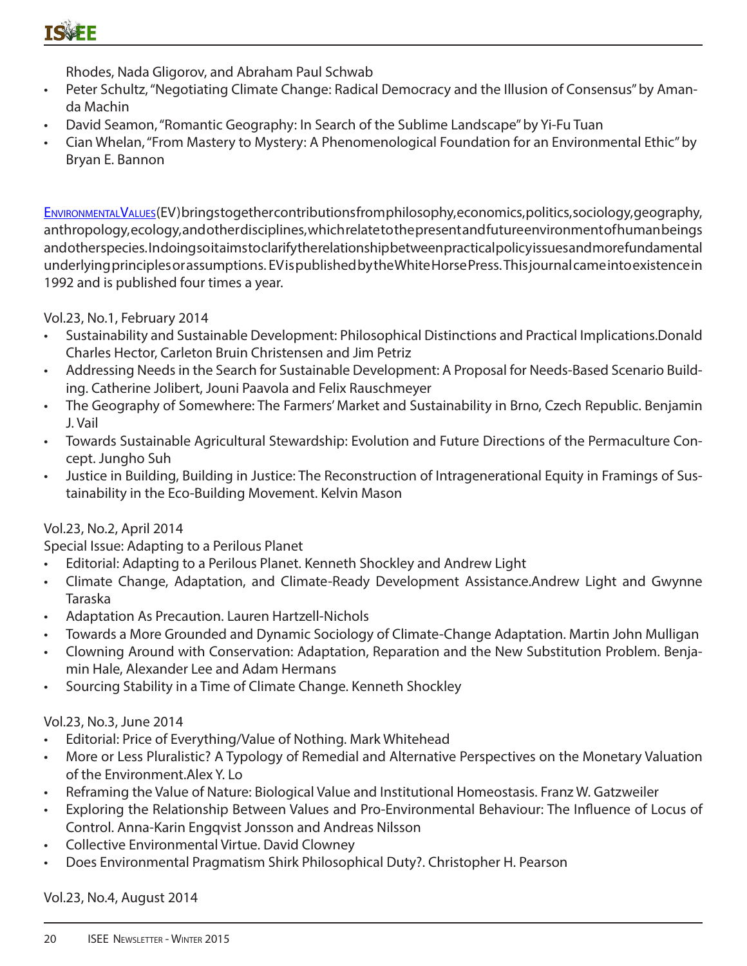Rhodes, Nada Gligorov, and Abraham Paul Schwab

- Peter Schultz, "Negotiating Climate Change: Radical Democracy and the Illusion of Consensus" by Amanda Machin
- David Seamon, "Romantic Geography: In Search of the Sublime Landscape" by Yi-Fu Tuan
- Cian Whelan, "From Mastery to Mystery: A Phenomenological Foundation for an Environmental Ethic" by Bryan E. Bannon

ENVIRONMENTALVALUES(EV) brings together contributions from philosophy, economics, politics, sociology, geography, anthropology, ecology, and other disciplines, which relate to the present and future environment of human beings and other species. In doing soit aims to clarify the relationship between practical policy issues and more fundamental underlying principles or assumptions. EV is published by the White Horse Press. This journal came into existence in 1992 and is published four times a year.

Vol.23, No.1, February 2014

- Sustainability and Sustainable Development: Philosophical Distinctions and Practical Implications.Donald Charles Hector, Carleton Bruin Christensen and Jim Petriz
- Addressing Needs in the Search for Sustainable Development: A Proposal for Needs-Based Scenario Building. Catherine Jolibert, Jouni Paavola and Felix Rauschmeyer
- The Geography of Somewhere: The Farmers' Market and Sustainability in Brno, Czech Republic. Benjamin J. Vail
- Towards Sustainable Agricultural Stewardship: Evolution and Future Directions of the Permaculture Concept. Jungho Suh
- Justice in Building, Building in Justice: The Reconstruction of Intragenerational Equity in Framings of Sustainability in the Eco-Building Movement. Kelvin Mason

### Vol.23, No.2, April 2014

Special Issue: Adapting to a Perilous Planet

- Editorial: Adapting to a Perilous Planet. Kenneth Shockley and Andrew Light
- Climate Change, Adaptation, and Climate-Ready Development Assistance.Andrew Light and Gwynne Taraska
- Adaptation As Precaution. Lauren Hartzell-Nichols
- Towards a More Grounded and Dynamic Sociology of Climate-Change Adaptation. Martin John Mulligan
- Clowning Around with Conservation: Adaptation, Reparation and the New Substitution Problem. Benjamin Hale, Alexander Lee and Adam Hermans
- Sourcing Stability in a Time of Climate Change. Kenneth Shockley

### Vol.23, No.3, June 2014

- Editorial: Price of Everything/Value of Nothing. Mark Whitehead
- More or Less Pluralistic? A Typology of Remedial and Alternative Perspectives on the Monetary Valuation of the Environment.Alex Y. Lo
- Reframing the Value of Nature: Biological Value and Institutional Homeostasis. Franz W. Gatzweiler
- Exploring the Relationship Between Values and Pro-Environmental Behaviour: The Influence of Locus of Control. Anna-Karin Engqvist Jonsson and Andreas Nilsson
- Collective Environmental Virtue. David Clowney
- Does Environmental Pragmatism Shirk Philosophical Duty?. Christopher H. Pearson

Vol.23, No.4, August 2014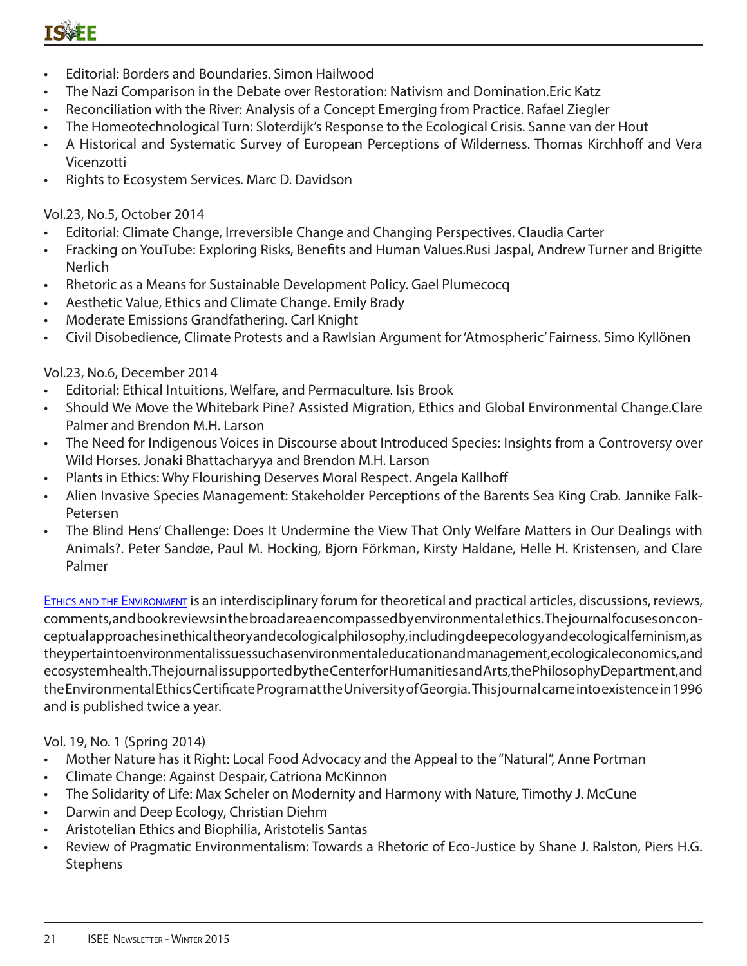- Editorial: Borders and Boundaries. Simon Hailwood
- The Nazi Comparison in the Debate over Restoration: Nativism and Domination.Eric Katz
- Reconciliation with the River: Analysis of a Concept Emerging from Practice. Rafael Ziegler
- The Homeotechnological Turn: Sloterdijk's Response to the Ecological Crisis. Sanne van der Hout
- A Historical and Systematic Survey of European Perceptions of Wilderness. Thomas Kirchhoff and Vera Vicenzotti
- Rights to Ecosystem Services. Marc D. Davidson

Vol.23, No.5, October 2014

- Editorial: Climate Change, Irreversible Change and Changing Perspectives. Claudia Carter
- Fracking on YouTube: Exploring Risks, Benefits and Human Values.Rusi Jaspal, Andrew Turner and Brigitte Nerlich
- Rhetoric as a Means for Sustainable Development Policy. Gael Plumecocq
- Aesthetic Value, Ethics and Climate Change. Emily Brady
- Moderate Emissions Grandfathering. Carl Knight
- Civil Disobedience, Climate Protests and a Rawlsian Argument for 'Atmospheric' Fairness. Simo Kyllönen

#### Vol.23, No.6, December 2014

- Editorial: Ethical Intuitions, Welfare, and Permaculture. Isis Brook
- Should We Move the Whitebark Pine? Assisted Migration, Ethics and Global Environmental Change.Clare Palmer and Brendon M.H. Larson
- The Need for Indigenous Voices in Discourse about Introduced Species: Insights from a Controversy over Wild Horses. Jonaki Bhattacharyya and Brendon M.H. Larson
- Plants in Ethics: Why Flourishing Deserves Moral Respect. Angela Kallhoff
- Alien Invasive Species Management: Stakeholder Perceptions of the Barents Sea King Crab. Jannike Falk-Petersen
- The Blind Hens' Challenge: Does It Undermine the View That Only Welfare Matters in Our Dealings with Animals?. Peter Sandøe, Paul M. Hocking, Bjorn Förkman, Kirsty Haldane, Helle H. Kristensen, and Clare Palmer

ETHICS AND THE ENVIRONMENT IS an interdisciplinary forum for theoretical and practical articles, discussions, reviews, comments, and book reviews in the broad area encompassed by environmental ethics. The journal focuses on conceptual approaches in ethical theory and ecological philosophy, including deep ecology and ecological feminism, as they pertain to environmental issues such as environmental education and management, ecological economics, and ecosystem health. The journal is supported by the Center for Humanities and Arts, the Philosophy Department, and the Environmental Ethics Certificate Program at the University of Georgia. This journal came into existence in 1996 and is published twice a year.

#### Vol. 19, No. 1 (Spring 2014)

- Mother Nature has it Right: Local Food Advocacy and the Appeal to the "Natural", Anne Portman
- Climate Change: Against Despair, Catriona McKinnon
- The Solidarity of Life: Max Scheler on Modernity and Harmony with Nature, Timothy J. McCune
- Darwin and Deep Ecology, Christian Diehm
- Aristotelian Ethics and Biophilia, Aristotelis Santas
- Review of Pragmatic Environmentalism: Towards a Rhetoric of Eco-Justice by Shane J. Ralston, Piers H.G. Stephens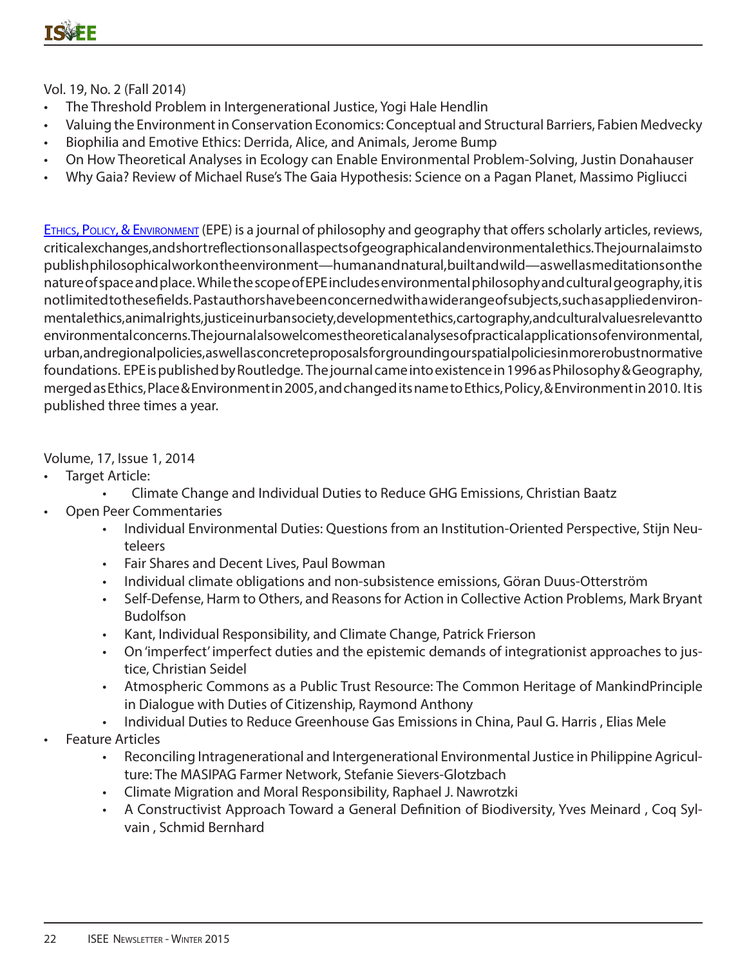Vol. 19, No. 2 (Fall 2014)

- The Threshold Problem in Intergenerational Justice, Yogi Hale Hendlin
- Valuing the Environment in Conservation Economics: Conceptual and Structural Barriers, Fabien Medvecky
- Biophilia and Emotive Ethics: Derrida, Alice, and Animals, Jerome Bump
- On How Theoretical Analyses in Ecology can Enable Environmental Problem-Solving, Justin Donahauser
- Why Gaia? Review of Michael Ruse's The Gaia Hypothesis: Science on a Pagan Planet, Massimo Pigliucci

Ethics, Policy, & Environment (EPE) is a journal of philosophy and geography that offersscholarly articles, reviews, critical exchanges, and short reflections on all aspects of geographicaland environmental ethics. The journal aims to publish philosophical work on the environment—human and natural, built and wild—as well as meditations on the nature of space and place. While the scope of EPE includes environmental philosophy and cultural geography, it is notlimited to these fields. Past authors have been concerned with a wide range of subjects, such asapplied environmental ethics, animal rights, justice in urban society, development ethics, cartography, and cultural values relevant to environmental concerns. The journal also welcomes theoretical analyses of practical applications of environmental, urban, and regional policies, aswell as concrete proposals for grounding our spatial policies in more robust normative foundations. EPE is published by Routledge. The journal came intoexistence in 1996 as Philosophy & Geography, merged as Ethics, Place & Environment in 2005, and changed its name to Ethics, Policy, & Environment in 2010. It is published three times a year.

Volume, 17, Issue 1, 2014

- Target Article:
	- Climate Change and Individual Duties to Reduce GHG Emissions, Christian Baatz
- Open Peer Commentaries
	- Individual Environmental Duties: Questions from an Institution-Oriented Perspective, Stijn Neuteleers
	- Fair Shares and Decent Lives, Paul Bowman
	- Individual climate obligations and non-subsistence emissions, Göran Duus-Otterström
	- Self-Defense, Harm to Others, and Reasons for Action in Collective Action Problems, Mark Bryant Budolfson
	- Kant, Individual Responsibility, and Climate Change, Patrick Frierson
	- On 'imperfect' imperfect duties and the epistemic demands of integrationist approaches to justice, Christian Seidel
	- Atmospheric Commons as a Public Trust Resource: The Common Heritage of MankindPrinciple in Dialogue with Duties of Citizenship, Raymond Anthony
	- Individual Duties to Reduce Greenhouse Gas Emissions in China, Paul G. Harris , Elias Mele
- Feature Articles
	- Reconciling Intragenerational and Intergenerational Environmental Justice in Philippine Agriculture: The MASIPAG Farmer Network, Stefanie Sievers-Glotzbach
	- Climate Migration and Moral Responsibility, Raphael J. Nawrotzki
	- A Constructivist Approach Toward a General Definition of Biodiversity, Yves Meinard , Coq Sylvain , Schmid Bernhard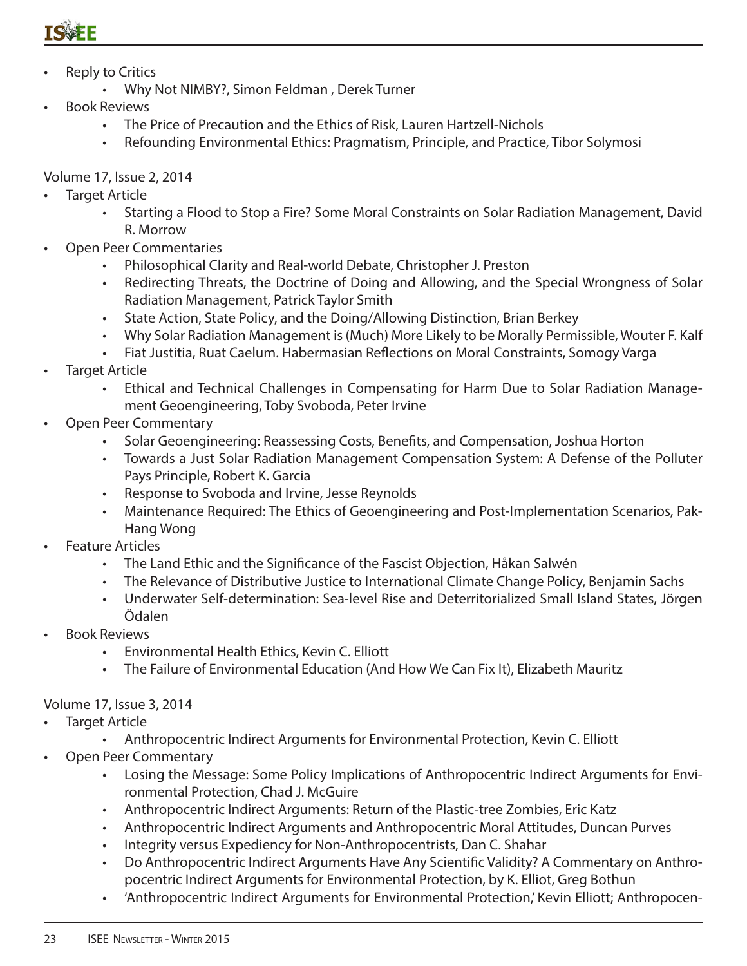- **Reply to Critics** 
	- Why Not NIMBY?, Simon Feldman , Derek Turner
- Book Reviews
	- The Price of Precaution and the Ethics of Risk, Lauren Hartzell-Nichols
	- Refounding Environmental Ethics: Pragmatism, Principle, and Practice, Tibor Solymosi

#### Volume 17, Issue 2, 2014

- **Target Article** 
	- Starting a Flood to Stop a Fire? Some Moral Constraints on Solar Radiation Management, David R. Morrow
- Open Peer Commentaries
	- Philosophical Clarity and Real-world Debate, Christopher J. Preston
	- Redirecting Threats, the Doctrine of Doing and Allowing, and the Special Wrongness of Solar Radiation Management, Patrick Taylor Smith
	- State Action, State Policy, and the Doing/Allowing Distinction, Brian Berkey
	- Why Solar Radiation Management is (Much) More Likely to be Morally Permissible, Wouter F. Kalf
	- Fiat Justitia, Ruat Caelum. Habermasian Reflections on Moral Constraints, Somogy Varga
- **Target Article** 
	- Ethical and Technical Challenges in Compensating for Harm Due to Solar Radiation Management Geoengineering, Toby Svoboda, Peter Irvine
- Open Peer Commentary
	- Solar Geoengineering: Reassessing Costs, Benefits, and Compensation, Joshua Horton
	- Towards a Just Solar Radiation Management Compensation System: A Defense of the Polluter Pays Principle, Robert K. Garcia
	- Response to Svoboda and Irvine, Jesse Reynolds
	- Maintenance Required: The Ethics of Geoengineering and Post-Implementation Scenarios, Pak-Hang Wong
- Feature Articles
	- The Land Ethic and the Significance of the Fascist Objection, Håkan Salwén
	- The Relevance of Distributive Justice to International Climate Change Policy, Benjamin Sachs
	- Underwater Self-determination: Sea-level Rise and Deterritorialized Small Island States, Jörgen Ödalen
- Book Reviews
	- Environmental Health Ethics, Kevin C. Elliott
	- The Failure of Environmental Education (And How We Can Fix It), Elizabeth Mauritz

### Volume 17, Issue 3, 2014

- **Target Article** 
	- Anthropocentric Indirect Arguments for Environmental Protection, Kevin C. Elliott
- Open Peer Commentary
	- Losing the Message: Some Policy Implications of Anthropocentric Indirect Arguments for Environmental Protection, Chad J. McGuire
	- Anthropocentric Indirect Arguments: Return of the Plastic-tree Zombies, Eric Katz
	- Anthropocentric Indirect Arguments and Anthropocentric Moral Attitudes, Duncan Purves
	- Integrity versus Expediency for Non-Anthropocentrists, Dan C. Shahar
	- Do Anthropocentric Indirect Arguments Have Any Scientific Validity? A Commentary on Anthropocentric Indirect Arguments for Environmental Protection, by K. Elliot, Greg Bothun
	- 'Anthropocentric Indirect Arguments for Environmental Protection,' Kevin Elliott; Anthropocen-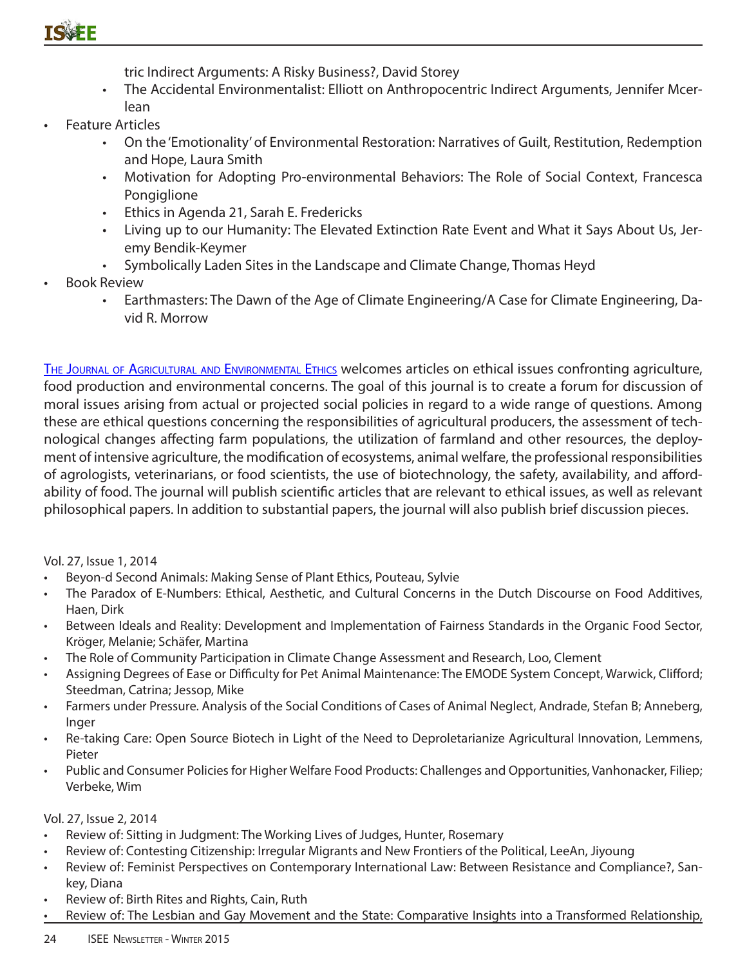

tric Indirect Arguments: A Risky Business?, David Storey

- The Accidental Environmentalist: Elliott on Anthropocentric Indirect Arguments, Jennifer Mcerlean
- Feature Articles
	- On the 'Emotionality' of Environmental Restoration: Narratives of Guilt, Restitution, Redemption and Hope, Laura Smith
	- Motivation for Adopting Pro-environmental Behaviors: The Role of Social Context, Francesca Pongiglione
	- Ethics in Agenda 21, Sarah E. Fredericks
	- Living up to our Humanity: The Elevated Extinction Rate Event and What it Says About Us, Jeremy Bendik-Keymer
	- Symbolically Laden Sites in the Landscape and Climate Change, Thomas Heyd
- Book Review
	- Earthmasters: The Dawn of the Age of Climate Engineering/A Case for Climate Engineering, David R. Morrow

The Journal of Agricultural and Environmental Ethics welcomes articles on ethical issues confronting agriculture, food production and environmental concerns. The goal of this journal is to create a forum for discussion of moral issues arising from actual or projected social policies in regard to a wide range of questions. Among these are ethical questions concerning the responsibilities of agricultural producers, the assessment of technological changes affecting farm populations, the utilization of farmland and other resources, the deployment of intensive agriculture, the modification of ecosystems, animal welfare, the professional responsibilities of agrologists, veterinarians, or food scientists, the use of biotechnology, the safety, availability, and affordability of food. The journal will publish scientific articles that are relevant to ethical issues, as well as relevant philosophical papers. In addition to substantial papers, the journal will also publish brief discussion pieces.

Vol. 27, Issue 1, 2014

- Beyon-d Second Animals: Making Sense of Plant Ethics, Pouteau, Sylvie
- The Paradox of E-Numbers: Ethical, Aesthetic, and Cultural Concerns in the Dutch Discourse on Food Additives, Haen, Dirk
- Between Ideals and Reality: Development and Implementation of Fairness Standards in the Organic Food Sector, Kröger, Melanie; Schäfer, Martina
- The Role of Community Participation in Climate Change Assessment and Research, Loo, Clement
- Assigning Degrees of Ease or Difficulty for Pet Animal Maintenance: The EMODE System Concept, Warwick, Clifford; Steedman, Catrina; Jessop, Mike
- Farmers under Pressure. Analysis of the Social Conditions of Cases of Animal Neglect, Andrade, Stefan B; Anneberg, Inger
- Re-taking Care: Open Source Biotech in Light of the Need to Deproletarianize Agricultural Innovation, Lemmens, Pieter
- Public and Consumer Policies for Higher Welfare Food Products: Challenges and Opportunities, Vanhonacker, Filiep; Verbeke, Wim

Vol. 27, Issue 2, 2014

- Review of: Sitting in Judgment: The Working Lives of Judges, Hunter, Rosemary
- Review of: Contesting Citizenship: Irregular Migrants and New Frontiers of the Political, LeeAn, Jiyoung
- Review of: Feminist Perspectives on Contemporary International Law: Between Resistance and Compliance?, Sankey, Diana
- Review of: Birth Rites and Rights, Cain, Ruth
- Review of: The Lesbian and Gay Movement and the State: Comparative Insights into a Transformed Relationship,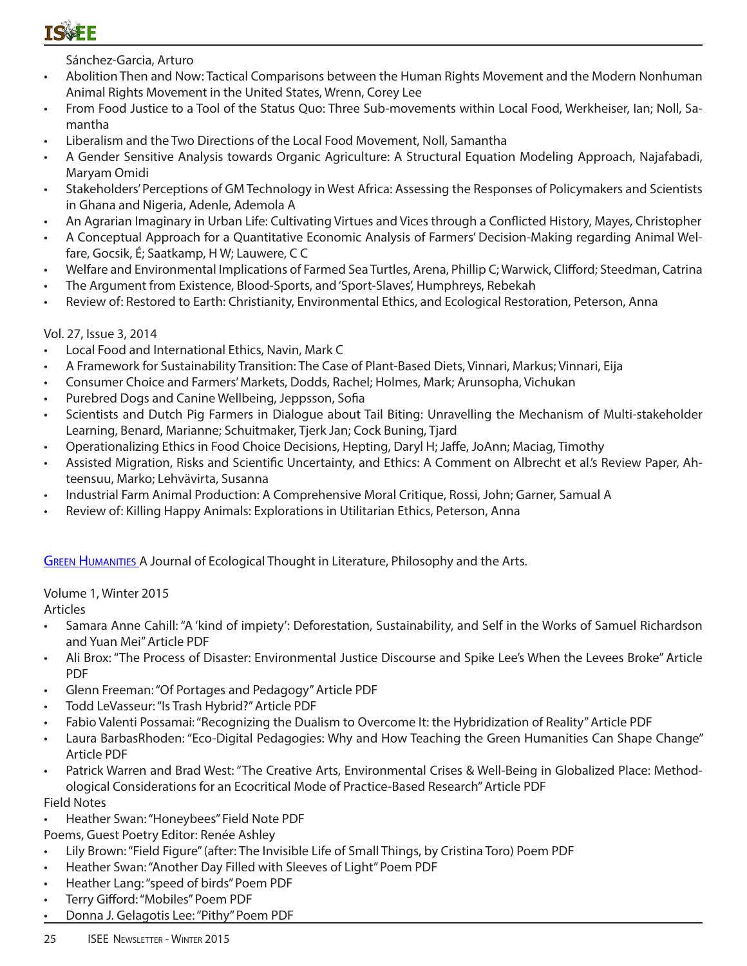Sánchez-Garcia, Arturo

- Abolition Then and Now: Tactical Comparisons between the Human Rights Movement and the Modern Nonhuman Animal Rights Movement in the United States, Wrenn, Corey Lee
- From Food Justice to a Tool of the Status Quo: Three Sub-movements within Local Food, Werkheiser, Ian; Noll, Samantha
- Liberalism and the Two Directions of the Local Food Movement, Noll, Samantha
- A Gender Sensitive Analysis towards Organic Agriculture: A Structural Equation Modeling Approach, Najafabadi, Maryam Omidi
- Stakeholders' Perceptions of GM Technology in West Africa: Assessing the Responses of Policymakers and Scientists in Ghana and Nigeria, Adenle, Ademola A
- An Agrarian Imaginary in Urban Life: Cultivating Virtues and Vices through a Conflicted History, Mayes, Christopher
- A Conceptual Approach for a Quantitative Economic Analysis of Farmers' Decision-Making regarding Animal Welfare, Gocsik, É; Saatkamp, H W; Lauwere, C C
- Welfare and Environmental Implications of Farmed Sea Turtles, Arena, Phillip C; Warwick, Clifford; Steedman, Catrina
- The Argument from Existence, Blood-Sports, and 'Sport-Slaves', Humphreys, Rebekah
- Review of: Restored to Earth: Christianity, Environmental Ethics, and Ecological Restoration, Peterson, Anna

#### Vol. 27, Issue 3, 2014

- Local Food and International Ethics, Navin, Mark C
- A Framework for Sustainability Transition: The Case of Plant-Based Diets, Vinnari, Markus; Vinnari, Eija
- Consumer Choice and Farmers' Markets, Dodds, Rachel; Holmes, Mark; Arunsopha, Vichukan
- Purebred Dogs and Canine Wellbeing, Jeppsson, Sofia
- Scientists and Dutch Pig Farmers in Dialogue about Tail Biting: Unravelling the Mechanism of Multi-stakeholder Learning, Benard, Marianne; Schuitmaker, Tjerk Jan; Cock Buning, Tjard
- Operationalizing Ethics in Food Choice Decisions, Hepting, Daryl H; Jaffe, JoAnn; Maciag, Timothy
- Assisted Migration, Risks and Scientific Uncertainty, and Ethics: A Comment on Albrecht et al.'s Review Paper, Ahteensuu, Marko; Lehvävirta, Susanna
- Industrial Farm Animal Production: A Comprehensive Moral Critique, Rossi, John; Garner, Samual A
- Review of: Killing Happy Animals: Explorations in Utilitarian Ethics, Peterson, Anna

**GREEN HUMANITIES A Journal of Ecological Thought in Literature, Philosophy and the Arts.** 

#### Volume 1, Winter 2015

Articles

- Samara Anne Cahill: "A 'kind of impiety': Deforestation, Sustainability, and Self in the Works of Samuel Richardson and Yuan Mei" Article PDF
- Ali Brox: "The Process of Disaster: Environmental Justice Discourse and Spike Lee's When the Levees Broke" Article PDF
- Glenn Freeman: "Of Portages and Pedagogy" Article PDF
- Todd LeVasseur: "Is Trash Hybrid?" Article PDF
- Fabio Valenti Possamai: "Recognizing the Dualism to Overcome It: the Hybridization of Reality" Article PDF
- Laura BarbasRhoden: "Eco-Digital Pedagogies: Why and How Teaching the Green Humanities Can Shape Change" Article PDF
- Patrick Warren and Brad West: "The Creative Arts, Environmental Crises & Well-Being in Globalized Place: Methodological Considerations for an Ecocritical Mode of Practice-Based Research" Article PDF Field Notes
- Heather Swan: "Honeybees" Field Note PDF

Poems, Guest Poetry Editor: Renée Ashley

- Lily Brown: "Field Figure" (after: The Invisible Life of Small Things, by Cristina Toro) Poem PDF
- Heather Swan: "Another Day Filled with Sleeves of Light" Poem PDF
- Heather Lang: "speed of birds" Poem PDF
- Terry Gifford: "Mobiles" Poem PDF
- Donna J. Gelagotis Lee: "Pithy" Poem PDF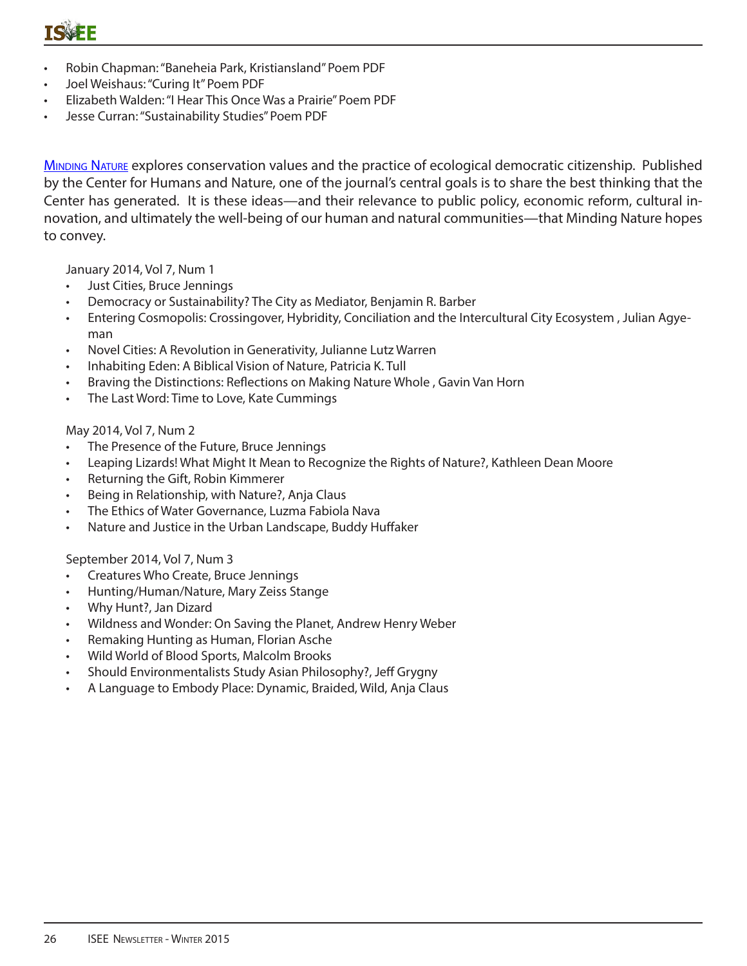- Robin Chapman: "Baneheia Park, Kristiansland" Poem PDF
- Joel Weishaus: "Curing It" Poem PDF
- Elizabeth Walden: "I Hear This Once Was a Prairie" Poem PDF
- Jesse Curran: "Sustainability Studies" Poem PDF

MINDING NATURE explores conservation values and the practice of ecological democratic citizenship. Published by the Center for Humans and Nature, one of the journal's central goals is to share the best thinking that the Center has generated. It is these ideas—and their relevance to public policy, economic reform, cultural innovation, and ultimately the well-being of our human and natural communities—that Minding Nature hopes to convey.

January 2014, Vol 7, Num 1

- Just Cities, Bruce Jennings
- Democracy or Sustainability? The City as Mediator, Benjamin R. Barber
- Entering Cosmopolis: Crossingover, Hybridity, Conciliation and the Intercultural City Ecosystem , Julian Agyeman
- Novel Cities: A Revolution in Generativity, Julianne Lutz Warren
- Inhabiting Eden: A Biblical Vision of Nature, Patricia K. Tull
- Braving the Distinctions: Reflections on Making Nature Whole , Gavin Van Horn
- The Last Word: Time to Love, Kate Cummings

#### May 2014, Vol 7, Num 2

- The Presence of the Future, Bruce Jennings
- Leaping Lizards! What Might It Mean to Recognize the Rights of Nature?, Kathleen Dean Moore
- Returning the Gift, Robin Kimmerer
- Being in Relationship, with Nature?, Anja Claus
- The Ethics of Water Governance, Luzma Fabiola Nava
- Nature and Justice in the Urban Landscape, Buddy Huffaker

September 2014, Vol 7, Num 3

- Creatures Who Create, Bruce Jennings
- Hunting/Human/Nature, Mary Zeiss Stange
- Why Hunt?, Jan Dizard
- Wildness and Wonder: On Saving the Planet, Andrew Henry Weber
- Remaking Hunting as Human, Florian Asche
- Wild World of Blood Sports, Malcolm Brooks
- Should Environmentalists Study Asian Philosophy?, Jeff Grygny
- A Language to Embody Place: Dynamic, Braided, Wild, Anja Claus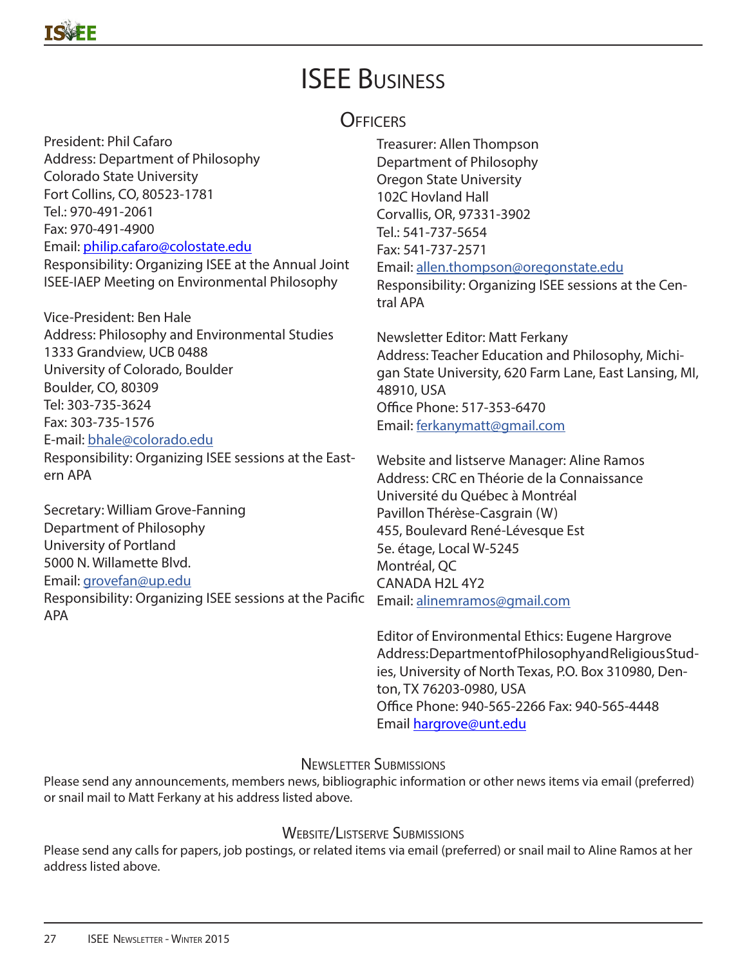# ISEE Business

## **OFFICERS**

President: Phil Cafaro Address: Department of Philosophy Colorado State University Fort Collins, CO, 80523-1781 Tel.: 970-491-2061 Fax: 970-491-4900 Email: philip.cafaro@colostate.edu Responsibility: Organizing ISEE at the Annual Joint ISEE-IAEP Meeting on Environmental Philosophy

Vice-President: Ben Hale Address: Philosophy and Environmental Studies 1333 Grandview, UCB 0488 University of Colorado, Boulder Boulder, CO, 80309 Tel: 303-735-3624 Fax: 303-735-1576 E-mail: bhale@colorado.edu

Responsibility: Organizing ISEE sessions at the Eastern APA

Secretary: William Grove-Fanning Department of Philosophy University of Portland 5000 N. Willamette Blvd. Email: grovefan@up.edu Responsibility: Organizing ISEE sessions at the Pacific APA

Treasurer: Allen Thompson Department of Philosophy Oregon State University 102C Hovland Hall Corvallis, OR, 97331-3902 Tel.: 541-737-5654 Fax: 541-737-2571 Email: allen.thompson@oregonstate.edu

Responsibility: Organizing ISEE sessions at the Central APA

Newsletter Editor: Matt Ferkany Address: Teacher Education and Philosophy, Michigan State University, 620 Farm Lane, East Lansing, MI, 48910, USA Office Phone: 517-353-6470 Email: ferkanymatt@gmail.com

Website and listserve Manager: Aline Ramos Address: CRC en Théorie de la Connaissance Université du Québec à Montréal Pavillon Thérèse-Casgrain (W) 455, Boulevard René-Lévesque Est 5e. étage, Local W-5245 Montréal, QC CANADA H2L 4Y2 Email: alinemramos@gmail.com

Editor of Environmental Ethics: Eugene Hargrove Address: Department of Philosophy and Religious Studies, University of North Texas, P.O. Box 310980, Denton, TX 76203-0980, USA Office Phone: 940-565-2266 Fax: 940-565-4448 Email hargrove@unt.edu

## Newsletter Submissions

Please send any announcements, members news, bibliographic information or other news items via email (preferred) or snail mail to Matt Ferkany at his address listed above.

## WEBSITE/LISTSERVE SUBMISSIONS

Please send any calls for papers, job postings, or related items via email (preferred) or snail mail to Aline Ramos at her address listed above.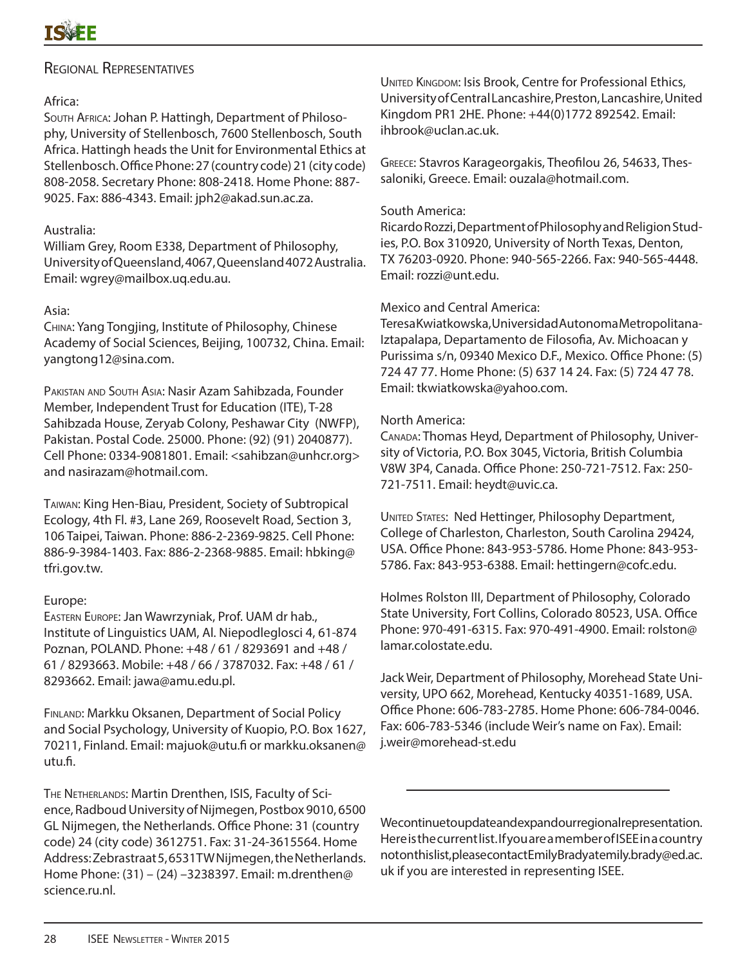### Regional Representatives

#### Africa:

South Africa: Johan P. Hattingh, Department of Philosophy, University of Stellenbosch, 7600 Stellenbosch, South Africa. Hattingh heads the Unit for Environmental Ethics at Stellenbosch. Office Phone: 27 (country code) 21 (city code) 808-2058. Secretary Phone: 808-2418. Home Phone: 887- 9025. Fax: 886-4343. Email: jph2@akad.sun.ac.za.

#### Australia:

William Grey, Room E338, Department of Philosophy, University of Queensland, 4067, Queensland 4072 Australia. Email: wgrey@mailbox.uq.edu.au.

#### Asia:

China: Yang Tongjing, Institute of Philosophy, Chinese Academy of Social Sciences, Beijing, 100732, China. Email: yangtong12@sina.com.

Pakistan and South Asia: Nasir Azam Sahibzada, Founder Member, Independent Trust for Education (ITE), T-28 Sahibzada House, Zeryab Colony, Peshawar City (NWFP), Pakistan. Postal Code. 25000. Phone: (92) (91) 2040877). Cell Phone: 0334-9081801. Email: <sahibzan@unhcr.org> and nasirazam@hotmail.com.

Taiwan: King Hen-Biau, President, Society of Subtropical Ecology, 4th Fl. #3, Lane 269, Roosevelt Road, Section 3, 106 Taipei, Taiwan. Phone: 886-2-2369-9825. Cell Phone: 886-9-3984-1403. Fax: 886-2-2368-9885. Email: hbking@ tfri.gov.tw.

#### Europe:

Eastern Europe: Jan Wawrzyniak, Prof. UAM dr hab., Institute of Linguistics UAM, Al. Niepodleglosci 4, 61-874 Poznan, POLAND. Phone: +48 / 61 / 8293691 and +48 / 61 / 8293663. Mobile: +48 / 66 / 3787032. Fax: +48 / 61 / 8293662. Email: jawa@amu.edu.pl.

Finland: Markku Oksanen, Department of Social Policy and Social Psychology, University of Kuopio, P.O. Box 1627, 70211, Finland. Email: majuok@utu.fi or markku.oksanen@ utu.fi.

The Netherlands: Martin Drenthen, ISIS, Faculty of Science, Radboud University of Nijmegen, Postbox 9010, 6500 GL Nijmegen, the Netherlands. Office Phone: 31 (country code) 24 (city code) 3612751. Fax: 31-24-3615564. Home Address: Zebrastraat 5, 6531TW Nijmegen, the Netherlands. Home Phone: (31) – (24) –3238397. Email: m.drenthen@ science.ru.nl.

UNITED KINGDOM: Isis Brook, Centre for Professional Ethics, University of Central Lancashire, Preston, Lancashire, United Kingdom PR1 2HE. Phone: +44(0)1772 892542. Email: ihbrook@uclan.ac.uk.

Greece: Stavros Karageorgakis, Theofilou 26, 54633, Thessaloniki, Greece. Email: ouzala@hotmail.com.

#### South America:

Ricardo Rozzi, Department of Philosophy and Religion Studies, P.O. Box 310920, University of North Texas, Denton, TX 76203-0920. Phone: 940-565-2266. Fax: 940-565-4448. Email: rozzi@unt.edu.

#### Mexico and Central America:

Teresa Kwiatkowska, Universidad Autonoma Metropolitana-Iztapalapa, Departamento de Filosofia, Av. Michoacan y Purissima s/n, 09340 Mexico D.F., Mexico. Office Phone: (5) 724 47 77. Home Phone: (5) 637 14 24. Fax: (5) 724 47 78. Email: tkwiatkowska@yahoo.com.

#### North America:

Canada: Thomas Heyd, Department of Philosophy, University of Victoria, P.O. Box 3045, Victoria, British Columbia V8W 3P4, Canada. Office Phone: 250-721-7512. Fax: 250- 721-7511. Email: heydt@uvic.ca.

UNITED STATES: Ned Hettinger, Philosophy Department, College of Charleston, Charleston, South Carolina 29424, USA. Office Phone: 843-953-5786. Home Phone: 843-953- 5786. Fax: 843-953-6388. Email: hettingern@cofc.edu.

Holmes Rolston III, Department of Philosophy, Colorado State University, Fort Collins, Colorado 80523, USA. Office Phone: 970-491-6315. Fax: 970-491-4900. Email: rolston@ lamar.colostate.edu.

Jack Weir, Department of Philosophy, Morehead State University, UPO 662, Morehead, Kentucky 40351-1689, USA. Office Phone: 606-783-2785. Home Phone: 606-784-0046. Fax: 606-783-5346 (include Weir's name on Fax). Email: j.weir@morehead-st.edu

We continue to update and expand our regional representation. Here is the current list. If you are a member of ISEE in a country not on this list, please contact Emily Brady at emily. brady @ed.ac. uk if you are interested in representing ISEE.